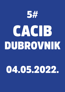

## 04.05.2022.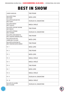### BEST IN SHOW

| <b>JUNIOR HANDLING</b>                                       | <b>TINO PEHAR</b>              |
|--------------------------------------------------------------|--------------------------------|
| NAJLJEPŠE ŠTENE<br><b>BEST BABY</b>                          | NIKŠA LEMO                     |
| NAJLJEPŠI NAJMLAĐI PAS<br><b>BEST PUPPY</b>                  | <b>VOJISILAV AL DAGHISTANI</b> |
| NAJLJEPŠI PAROVI<br><b>BEST COUPLES</b>                      | NIKOLA SMOLIĆ                  |
| NAJLJEPŠE UZGOJNE SKUPINE<br><b>BEST BRACES</b>              | <b>TINO PEHAR</b>              |
| NAJLJEPŠI VETERANI<br><b>BEST VETERAN</b>                    | <b>VOJISILAV AL DAGHISTANI</b> |
| NAJLJEPŠI LOVNI RADNI PSI<br>BEST HUNTING WORKING DOG        | <b>TINO PEHAR</b>              |
| NAJLJEPŠI MLADI PAS<br><b>JUNIOR BEST IN SHOW</b>            | NIKŠA LEMO                     |
| NAJLJEPŠI AUTOHTONI PSI<br><b>BEST CROATIAN NATIVE BREED</b> | <b>TINO PEHAR</b>              |
| FCI <sub>1</sub>                                             | NIKŠA LEMO                     |
| FCI <sub>2</sub>                                             | <b>TINO PEHAR</b>              |
| FCI <sub>3</sub>                                             | NIKŠA LEMO                     |
| FCI 4                                                        | NIKOLA SMOLIĆ                  |
| FCI <sub>5</sub>                                             | NIKOLA SMOLIĆ                  |
| FCI <sub>6</sub>                                             | <b>TINO PEHAR</b>              |
| FCI <sub>7</sub>                                             | NIKŠA LEMO                     |
| FCI 8                                                        | NIKOLA SMOLIĆ                  |
| FCI 9                                                        | <b>VOJISILAV AL DAGHISTANI</b> |
| <b>FCI 10</b>                                                | NIKOLA SMOLIĆ                  |
| NAJLJEŠI PSI IZLOŽBE<br><b>BEST IN SHOW</b>                  | <b>VOJISILAV AL DAGHISTANI</b> |



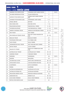| <b>KRUG / RING 1</b> |                                  |                                                   |                |         |
|----------------------|----------------------------------|---------------------------------------------------|----------------|---------|
|                      | SUDAC / JUDGE: NIKŠA LEMO        |                                                   |                |         |
| 1                    | MAĐARSKA VIŽLA KRATKE DLAKE      | HUNGARIAN SHORT-HAIRED POINTER                    | 1              | 10,00 h |
| 2                    | TALIJANSKI KRATKODLAKI PTIČAR    | <b>ITALIAN POINTING DOG</b>                       | $\overline{2}$ |         |
| 3                    | NJEMAČKI PTIČAR KRATKE DLAKE     | <b>GERMAN SHORT-HAIRED POINTING</b><br><b>DOG</b> | 3              |         |
| 4                    | VAJMARSKI PTIČAR KRATKE DLAKE    | WEIMARANER, SHORT-HAIRED                          | $4 - 5$        |         |
| 5                    | EPANJEL BRETON                   | <b>BRITTANY</b>                                   | 6              |         |
| 6                    | <b>IRSKI CRVENI SETER</b>        | IRISH RED SETTER                                  | $7 - 8$        |         |
| 7                    | MINIJATURNI BULTERIJER           | MINIATURE BULL TERRIER                            | $9 - 10$       |         |
| 8                    | STAFORDSKI BULTERIJER            | STAFFORDSHIRE BULL TERRIER                        | $11 - 18$      | 10,30 h |
| 9                    | AMERIČKI STAFORDSKI TERIJER      | AMERICAN STAFFORDSHIRE TERRIER                    | $19 - 23$      |         |
| 10                   | <b>IRSKI TERIJER</b>             | <b>IRISH TERRIER</b>                              | 24             | 11,10 h |
| 11                   | IRSKI MEKODLAKI PŠENIČNI TERIJER | IRISH SOFT COATED WHEATEN TER-<br><b>RIER</b>     | $25 - 26$      |         |
| 12                   | <b>BRAZILSKI TERIJER</b>         | <b>BRAZILIAN TERRIER</b>                          | 27             |         |
| 13                   | FOKSTERIJER OŠTRE DLAKE          | FOX TERRIER, WIRE                                 | 28             |         |
| 14                   | VELŠKI TERIJER                   | <b>WELSH TERRIER</b>                              | 29             |         |
| 15                   | ZAPADNOŠKOTSKI BIJELI TERIJER    | WEST HIGHLAND WHITE TERRIER                       | 30             |         |
| 16                   | ŠKOTSKI TERIJER                  | <b>SCOTISH TERRIER</b>                            | 121            |         |
| 17                   | ENGLESKI TOY TERIJER             | ENGLISH TOY TERRIER BLACK AND<br>TAN)             | 31             |         |
| 18                   | AUSTRALSKI SILKY TERIJER         | AUSTRALIAN SILKY TERRIER                          | $32 - 33$      |         |
| 19                   | Jorkširski terijer               | YORKSHIRE TERRIER                                 | 34 - 37        |         |
| 20                   | GRENENDEL                        | GROENENDAEL                                       | 38             | 12,00 h |
| 21                   | <b>BOSERON</b>                   | <b>BEAUCERON</b>                                  | 39             |         |
| 22                   | ŠVICARSKI BIJELI OVČAR           | WHITE SWISS SHEPHERD DOG                          | $40 - 43$      |         |
| 23                   | ČEHOSLOVAČKI VUČJAK              | CZECHOSLOVAKIAN WOLFDOG                           | $44 - 47$      |         |
| 24                   | <b>SCHAPENDOES</b>               | <b>DUTCH SCHAPENDOES</b>                          | 48             | 12,30 h |
| 25                   | ŠIPERKE                          | <b>SCHIPPERKE</b>                                 | 49             |         |
| 26                   | AUSTRALSKI GOVEDARSKI PAS        | AUSTRALIAN CATTLE DOG                             | 50             |         |
| 27                   | AUSTRALSKI OVČARSKI PAS          | <b>AUSTRALIAN SHEPHERD</b>                        | $51 - 54$      |         |
| 28                   | MINIJATURNI AMERIČKI OVČAR       | MINIATURE AMERICAN SHEPHERD                       | 55             |         |
| 29                   | GRANIČARSKI KOLI                 | <b>BORDER COLLIE</b>                              | $56 - 58$      |         |
| 30                   | VELŠKI KORGI PEMBROKE            | WELSH CORGI PEMBROKE                              | $59 - 60$      |         |
| 31                   | ŠKOTSKI OVČAR KRATKE DLAKE       | <b>COLLIE SMOOTH</b>                              | 61             |         |





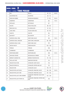| <b>KRUG / RING 2</b>      |                                 |                                                  |             |         |  |
|---------------------------|---------------------------------|--------------------------------------------------|-------------|---------|--|
| SUDAC / JUDGE: TINO PEHAR |                                 |                                                  |             |         |  |
| 1                         | <b>BIGL</b>                     | <b>BEAGLE</b>                                    | $62 - 63$   | 10,00 h |  |
| $\overline{2}$            | <b>DALMATINSKI PAS</b>          | DALMATIAN                                        | $64 - 72$   |         |  |
| 3                         | RODEZIJSKI RIĐBEK               | RHODESIAN RIDGEBACK                              | $73 - 85$   | 10,30 h |  |
| 4                         | <b>DOBERMAN</b>                 | <b>DOBERMANN</b>                                 | 86          | 11,10 h |  |
| 5                         | <b>ROTVAJLER</b>                | <b>ROTTWEILER</b>                                | 87          |         |  |
| 6                         | <b>BULDOG</b>                   | <b>ENGLISH BULLDOG</b>                           | $88 - 90$   |         |  |
| $\overline{7}$            | <b>BRAZILSKA FILA</b>           | FILA BRASILEIRO                                  | $91 - 92$   |         |  |
| 8                         | CANE CORSO                      | <b>ITALIAN CORSO DOG</b>                         | $93 - 95$   |         |  |
| 9                         | <b>SHAR PEI</b>                 | <b>SHAR PEI</b>                                  | 96          |         |  |
| 10                        | <b>BULMASTIF</b>                | <b>BULLMASTIFF</b>                               | 97          |         |  |
| 11                        | NJEMAČKA DOGA, CRNA             | <b>GREAT DANE, BLACK</b>                         | 98          | 11,45 h |  |
| 12                        | NJEMAČKA DOGA, HARLEKIN         | <b>GREAT DANE, HARLEQUIN</b>                     | $99 - 100$  |         |  |
| 13                        | NJEMAČKA DOGA, PLAVA            | <b>GREAT DANE, BLUE</b>                          | 101         |         |  |
| 14                        | <b>TIBETSKI MASTIF</b>          | <b>TIBETAN MASTIFF</b>                           | $102 - 103$ |         |  |
| 15                        | <b>TORNJAK</b>                  | <b>TORNJAK</b>                                   | 104         |         |  |
| 16                        | LEONBERGER                      | LEONBERGER                                       | $105 - 108$ |         |  |
| 17                        | NEWFOUNDLANDER                  | NEWFOUNDLAND                                     | 109         | 12,15 h |  |
| 18                        | CRNI RUSKI TERIJER              | RUSSIAN BLACK TERRIER                            | 110         |         |  |
| 19                        | BERNSKI PLANINSKI PAS           | BERNESE MOUNTAIN DOG                             | $111 - 112$ |         |  |
| 20                        | PATULJASTI PINČ                 | MINIATURE PINSCHER                               | 113         |         |  |
| 21                        | ŠNAUCER VELIKI CRNI             | SCHNAUZER, GIANT, BLACK                          | 114         |         |  |
| 22                        | ŠNAUCER PAPAR-SOL               | SCHNAUZER, PEPPER AND SALT                       | 115         |         |  |
| 23                        | ŠNAUCER CRNI                    | SCHNAUZER, BLACK                                 | $116 - 117$ |         |  |
| 24                        | ŠNAUCER PATULJASTI BIJELI       | SCHNAUZER, MINIATURE, WHITE                      | 118 - 120   | 12,45 h |  |
| 25                        | ŠNAUCER PATULJASTI CRNI         | SCHNAUZER, MINIATURE, BLACK                      | 121 - 122   |         |  |
| 26                        | ŠNAUCER PATULJASTI CRNO-SREBRNI | SCHNAUZER, MINIATURE, BLACK AND<br><b>SILVER</b> | 123 - 124   |         |  |
| 27                        | ŠNAUCER PATULJASTI PAPAR-SOL    | SCHNAUZER, MINIATURE, PEPPER AND<br>SALT         | 125         |         |  |





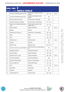| <b>KRUG / RING 3</b><br>SUDAC / JUDGE: NIKOLA SMOLIČ |                                           |                                               |             |         |
|------------------------------------------------------|-------------------------------------------|-----------------------------------------------|-------------|---------|
| 1                                                    | JAZAVČAR STANDARDNI KRATKE DLAKE          | DACHSHUND, STANDARD, SMOOTH-<br><b>HAIRED</b> | $126 - 128$ | 10,00 h |
| $\overline{2}$                                       | JAZAVČAR STANDARDNI OŠTRE DLAKE           | DACHSHUND, STANDARD, WIRE-<br><b>HAIRED</b>   | 129         |         |
| 3                                                    | MEKSIČKI BEZDLAKI PAS MALI                | XOLOITZCUINTLE, MINIATURE                     | 130         |         |
| $\overline{4}$                                       | MEKSIČKI BEZDLAKI PAS SREDNJI             | XOLOITZCUINTLE, INTERMEDIATE                  | $131 - 133$ |         |
| 5                                                    | PORTUGALSKI PODENGO KRATKODLAKI<br>- MALI | PORTUGUESE PODENGO, SHORT-<br>HAIRED, SMALL   | 134 - 135   |         |
| 6                                                    | <b>FINSKI LAPHUND</b>                     | <b>FINNISH LAPPHUND</b>                       | 136         | 10,30 h |
| 7                                                    | <b>BASENĐI</b>                            | <b>BASENJI</b>                                | 137         |         |
| 8                                                    | NJEMAČKI ŠPIC PATULJASTI                  | GERMAN SPITZ, POMERANIAN                      | 138 - 140   |         |
| 9                                                    | <b>SHIBA</b>                              | <b>SHIBA</b>                                  | 141 - 142   |         |
| 10                                                   | <b>AKITA</b>                              | <b>AKITA</b>                                  | $143 - 145$ |         |
| 11                                                   | AMERIČKA AKITA                            | AMERICAN AKITA                                | 146         | 11,00 h |
| 12                                                   | SAMOJED                                   | SAMOYED                                       | 147         |         |
| 13                                                   | SIBIRSKI HASKI                            | SIBERIAN HUSKY                                | 148 - 154   |         |
| 14                                                   | NOVA SCOTIA DUCK TOLLING RETRIEVER        | NOVA SCOTIA DUCK TOLLING RETRIEV-<br>ER       | 155         | 11,30 h |
| 15                                                   | <b>LABRADOR RETRIVER</b>                  | LABRADOR RETRIEVER                            | $156 - 158$ |         |
| 16                                                   | <b>ZLATNI RETRIVER</b>                    | <b>GOLDEN RETRIEVER</b>                       | 159 - 165   |         |
| 17                                                   | ŠPANJOLSKI PAS ZA VODU                    | SPANISH WATERDOG                              | $166 - 168$ | 12,00 h |
| 18                                                   | LAGOTTO ROMAGNOLO                         | LAGOTTO ROMAGNOLO                             | 169         |         |
| 19                                                   | ENGLESKI KOKER ŠPANIJEL                   | ENGLISH COCKER SPANIEL                        | 170 - 174   |         |
| 20                                                   | MALI TALIJANSKI HRT                       | <b>ITALIAN GREYHOUND</b>                      | 175 - 176   |         |
| 21                                                   | <b>VIPET</b>                              | <b>WHIPPET</b>                                | 177 - 181   | 12,30 h |
| 22                                                   | <b>GREYHOUND</b>                          | <b>GREYHOUND</b>                              | 182         |         |
| 23                                                   | <b>AZAWAKH</b>                            | AZAWAKH                                       | 183         |         |
| 24                                                   | AFGANISTANSKI HRT                         | AFGHAN HOUND                                  | 184 - 185   |         |



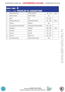| <b>KRUG / RING 4</b><br>SUDAC / JUDGE: VOJISLAV AL DAGHISTANI |                                |                               |             |         |
|---------------------------------------------------------------|--------------------------------|-------------------------------|-------------|---------|
|                                                               | FRANCUSKI BULDOG               | FRENCH BULLDOG                | 186 - 190   | 10,00 h |
| $\overline{2}$                                                | <b>BOSTON TERIJER</b>          | <b>BOSTON TERRIER</b>         | 191         |         |
| 3                                                             | <b>MOPS</b>                    | <b>PUG</b>                    | 192 - 196   |         |
| $\overline{4}$                                                | KINESKI KUKMASTI PAS           | CHINESE CRESTED DOG           | 197 - 200   | 10,45 h |
| 5                                                             | <b>PAPIJON</b>                 | PAPILLON                      | 201         |         |
| 6                                                             | CAVALIER KING CHARLES ŠPANIJEL | CAVALIER KING CHARLES SPANIEL | $202 - 205$ |         |
| $\overline{7}$                                                | HAVANEZER                      | HAVANESE                      | $206 - 209$ | 11,30 h |
| 8                                                             | MALTEZER                       | <b>MALTESE</b>                | $210 - 211$ |         |
| 9                                                             | SHIH TZU                       | SHIH TZU                      | $212 - 218$ |         |
| 10                                                            | PUDL TOY                       | POODLE, TOY                   | $219 - 223$ |         |
| 11                                                            | PUDL SREDNJI, BIJELI           | POODLE, MEDIUM, WHITE         | 224         |         |







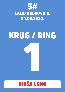

# KRUG / RING 1

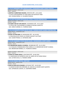**FCI: VII-57 MAĐARSKA VIŽLA KRATKE DLAKE / HUNGARIAN SHORT-HAIRED POINTER**

RAZRED OTVORENI - OPEN CLASS

*ŽENKE - FEMALES*

**1.AGÁTKA Z ALŽBETINHO MAJERA**, SPKP3753 OŠT., 22-01-2019 O: GUCCI VIVES BOHEMIA, M: AWA GRETA OD NUPACKÉ TVRZE UZG. ZUZANA NEZNA, VL. GULABOVÁ NIKOLA

**FCI: VII-202 TALIJANSKI KRATKODLAKI PTIČAR / ITALIAN POINTING DOG**

RAZRED OTVORENI - OPEN CLASS *MUŽJACI - MALES*

**2.DI DARIA VAN DE FLOR ADOLFO**, LOI19200101 OŠT., 30-12-2019 O: OTELLO DEL TAVULIDDARO, M: MINA DI CASCINA LAGHETTO UZG. DARIA FLORENZI, VL. FLORENZI DARIA

**FCI: VII-119 NJEMAČKI PTIČAR KRATKE DLAKE / GERMAN SHORT-HAIRED POINTING DOG**

RAZRED PRVACI - CHAMPION CLASS

*MUŽJACI - MALES*

**3.PITWIT ACTION MAN**, KC ASO4261001 OŠT., 26-10-2015 O: PRUSO BLUE MY COVER, M: DYSON'S DELIGHT VIA PITWIT UZG. SUSAN PITMAN, VL. HEYWOOD JANE

**FCI: VII-99 VAJMARSKI PTIČAR KRATKE DLAKE / WEIMARANER, SHORT-HAIRED**

RAZRED PRVACI - CHAMPION CLASS *MUŽJACI - MALES*

**4.CH BROMHUND MAKIN A SCANDAL**, HR10801WEI OŠT., 26-12-2019

O: CH WALDO AT BROMHUND ATRIA CORDIS, M: CH BROMHUND SECRET SCANDAL UZG. BROMHUND KENNELS, VL. PLENKOVIC MARIJA

RAZRED OTVORENI - OPEN CLASS

*ŽENKE - FEMALES*

**5.OYMA DU CHENE SESSILE**, LOF45769/0 OŠT., 26-06-2018 O: CAZAR MILOU ZE SLEZSKYCH LESU, M: JAMIE LEE DU CHENE SESSILE UZG. ALTHEN CECILE, VL. PIERARD CARINE

**FCI: VII-95 EPANJEL BRETON / BRITTANY**

RAZRED MLADI - JUNIOR CLASS *MUŽJACI - MALES*

**6.SAXO DU BOIS DES ECHASSES**, ACC316167 OŠT., 24-05-2021 O: JASEUR DU BOIS DES ECRIVAINS, M: LAIKA DE LA SOURCE SAINT QUENTIN UZG. LEFRANCOIS LUDOVIC, VL. GASPARINI FANNIE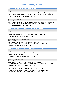**FCI: VII-120 IRSKI CRVENI SETER / IRISH RED SETTER**

RAZRED OTVORENI - OPEN CLASS *MUŽJACI - MALES*

**7.CHARMING VAGABONDS CATCH ME IF YOU CAN**, VDH/DPSZ IS 17/020 OŠT., 05-03-2017 O: GARDEN STAR'S IRISH X-TRA, M: INFINITY LOVE SOPHIE DU CAP DE L'EMERAUDE UZG. TANJA PANKOTSCH, VL. BÜSCHER MICHELLE

RAZRED PRVACI - CHAMPION CLASS *MUŽJACI - MALES*

**8.CHARMING VAGABONDS BRILLIANT POWER**, VDH/DPSZ IS 15/188 OŠT., 15-09-2015 O: PARIS MATCH THENDARA, M: INFINITY LOVE SOPHIE DU CAP DE L'EMERAUDE UZG. TANJA PANKOTSCH, VL. BÜSCHER MICHELLE

**FCI: III-359 MINIJATURNI BULTERIJER / MINIATURE BULL TERRIER**

RAZRED OTVORENI - OPEN CLASS

*MUŽJACI - MALES*

**9.AMFASHION BRAVE GUY**, CMKUMBT/1858 OŠT., 26-08-2019 O: VIN DIESEL OT SOLLNIKA, M: BRAND LIFE HOUSE FOR AMFASHION UZG. CHEKRYZHEVA YANA, VL. MALINSKA JANA

RAZRED MEĐURAZRED - INTERMEDIATE CLASS *ŽENKE - FEMALES*

**10.AINEE STRAZCE KLIDU**, CLP/MBT/1606 OŠT., 19-07-2020 O: IRIS PLATINUM JUPITER FOR BULLTER EGO, M: ZANUSSI ZONA BULLS UZG. MALINSKA JANA, VL. MALINSKA JANA

**FCI: III-76 STAFORDSKI BULTERIJER / STAFFORDSHIRE BULL TERRIER**

RAZRED MEĐURAZRED - INTERMEDIATE CLASS *MUŽJACI - MALES*

**11.FAITER NATIVE BOONDOCK'S**, FI54483/21 OŠT., 17-09-2020 O: ADELESTAFF ABSOLUTE FAITER, M: FAITER VERY SPECIAL UZG. ELENA ANTONOVA, VL. JOKITULPPO HEIDI

RAZRED OTVORENI - OPEN CLASS *MUŽJACI - MALES*

**12.BLAZEN STAFF'S REVENTON**, VDHG2628S OŠT., 05-05-2018 O: BLAZEN STAFF'S TIGER WITHOUT STRIPES, M: BLAZEN STAFF'S WORLD EDITION UZG. ZIBOLKA DR. HEIDI, VL. ZIBOLKA DR. HEIDI

**13.BLAZEN STAFF' S LEONIDAS DER ERSTE**, ROI184656 OŠT., 21-04-2017 O: BLAZEN STAFF' S QUALITY RED, M: BLAZEN STAFF' S JENNIFER JUNIPER UZG. FAMILIE ZIBOLKA, VL. BONGIOVANNI GIUSEPPE FEDERICO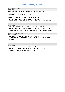RAZRED MLADI - JUNIOR CLASS *ŽENKE - FEMALES*

**14.DUCIPAL ENJOY THE SILENCE**, COR A 616-21/076 OŠT., 01-07-2021 O: DUCIPAL AROUND THE WORLD, M: DUCIPAL CAMILA VARGAS UZG. ANDREI RETI, VL. STAPRENA DZINTRA

#### **15.EARTHQUAKE STAFFS TREASURE**, ROILO227377 OŠT., 08-06-2021 O: EARTHQUAKE STAFFS ORACLE, M: EARTHQUAKE STAFFS JUSTICE UZG. DIEGO RODRIGUEZ-VIGIL GARCIA, VL. BONGIOVANNI GIUSEPPE FEDERICO

RAZRED MEĐURAZRED - INTERMEDIATE CLASS *ŽENKE - FEMALES*

**16.EARTHQUAKE STAFFS QUIRA**, ROILO21119894 OŠT., 28-11-2020 O: EARTHQUAKE STAFFS ORACLE, M: EARTHQUAKE STAFFS QUEEN OF SOULS UZG. DIEGO RODRIGUEZ - VIGIL GARCIA, VL. BONGIOVANNI GIUSEPPE FEDERICO

RAZRED OTVORENI - OPEN CLASS *ŽENKE - FEMALES*

**17.BLAZEN STAFF'S QUEEN**, VDHG2565S OŠT., 14-05-2018 O: BLAZEN STAFF'S DAIMLER DOUBLE SIX, M: BLAZEN STAFF'S FASINATION RED ROMANCE

UZG. ZIBOLKA DR. HEIDI, VL. ZIBOLKA DR. HEIDI

RAZRED PRVACI - CHAMPION CLASS

*ŽENKE - FEMALES*

**18.FAITER EXOTIC SPICE AT BOONDOCK'S**, FI41558/18 OŠT., 28-01-2018 O: DEVILS AND FAIRIES FLASH OF THE BLADE, M: FAITER VERY SPECIAL UZG. ELENA ANTONOVA, VL. JOKITULPPO HEIDI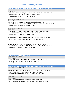**FCI: III-286 AMERIČKI STAFORDSKI TERIJER / AMERICAN STAFFORDSHIRE TERRIER**

RAZRED MLADI - JUNIOR CLASS

*MUŽJACI - MALES*

**19.WINWAR'S SINDELAR'S TEQUILA SUNRISE**, LOF3AMEST148972 OŠT., 03-06-2021 O: GENIUS AST INJECTION, M: WINWAR'S NEVER FORGET UZG. HULEU CHRISTOPHE, VL. HULEU CHRISTOPHE

RAZRED PRVACI - CHAMPION CLASS *MUŽJACI - MALES*

#### **20.RAHDAN OF THE GARDEN OF LOVE**, LOF139545 OŠT., 16-04-2020 O: ALPINE'S LBK LIVING ON THE ROAD, M: NYRAH THE GARDEUR OF LOVE OF ISS ARENA UZG. BONNEFILLE ELODIE, VL. COVARELLI CLARA

RAZRED MLADI - JUNIOR CLASS *ŽENKE - FEMALES*

**21.SIA LA MIA STELLINA OF THE NEW AGE AST**, LOF147057 OŠT., 14-03-2021 O: ALPINE'S HIGHWAYMAN, M: FURIOUS AST PINU-UP LP UZG. QUAGLIA LUDOVIC, VL. COVARELLI CLARA

- **22.COOKIE DOUBLE TROUBLE AST MITKOVA**, SLR AST-000958 OŠT., 03-07-2021 O: MY CRAZY DREAM CHALLE SALLE, M: ELLY BEST OF LONDON UZG. MITJA GERZINA, VL. BUTINA RANKO
- **23.OLD FASHIONED OF HAPPY RASCALS**, ROI2185107 OŠT., 05-04-2021 O: GENIUS AST INJECTION, M: COTTON CANDY JELL-O SHOT OF HAPPY RASCALS UZG. FRANCESCA NEGRI, VL. NEGRI FRANCESCA

**FCI: III-139 IRSKI TERIJER / IRISH TERRIER**

RAZRED ŠTENAD - BABY CLASS *ŽENKE - FEMALES*

**24.ALIBI RED LOVE Z VÁCLAVOVA DVORA**, ČLP/IRL/4614 OŠT., 06-01-2022 O: ROYAL RUBYS´MADE OF FIRE, M: EBONY HORÁR SEVER UZG. VÁCLAV ZABLOUDIL, VL. ČERNÁ ING. DAGMAR

**FCI: III-40 IRSKI MEKODLAKI PŠENIČNI TERIJER / IRISH SOFT COATED WHEATEN TERRIER** RAZRED PRVACI - CHAMPION CLASS *MUŽJACI - MALES*

**25.CHARMING WALK THE LINE AIVEN**, VDH/KFT 22/0007230 OŠT., 10-05-2019 O: WHINDANCER FIREFLIES, M: CHARMING WHEATEN BO LILLY UZG. SIMONE & MIKE SCHMIDT, VL. SCHMIDT SIMONE UND MIKE

RAZRED MLADI - JUNIOR CLASS *ŽENKE - FEMALES*

**26.UULA VOM DIEKHOF**, VDH/KFT 22/0007547 OŠT., 20-05-2021 O: O´LORCAN´S TOO HOT TO HANDLE, M: GREENTREE TREASURE OF GOLD UZG. PETRA RICHTER, VL. SCHMIDT SIMONE UND MIKE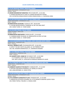**FCI: III-341 BRAZILSKI TERIJER / BRAZILIAN TERRIER**

RAZRED MEĐURAZRED - INTERMEDIATE CLASS *MUŽJACI - MALES*

**27.JAKARD WEJHERSTAFF KINGSTON**, PKR.III-91050 OŠT., 11-01-2021 O: JAKARD WEJHERSTAFF EL PASO, M: JAKARD WEJHERSTAFF GDYNIA UZG. KATARZYNA DZIĘGELEWSKA & DARIA DZIĘGELEWSKA, VL. SADOWSKA ANNA

**FCI: III-169 FOKSTERIJER OŠTRE DLAKE / FOX TERRIER, WIRE**

RAZRED MEĐURAZRED - INTERMEDIATE CLASS *ŽENKE - FEMALES*

**28.MINDHUNTER CICCIOLINA**, FI10335/21 OŠT., 09-09-2020 O: LOULINE REPERCUSSION AT RANDOM, M: ART FOX LARA CROFT UZG. SAANA TUOMI, VL. TUOMI SAANA

**FCI: III-78 VELŠKI TERIJER / WELSH TERRIER**

RAZRED OTVORENI - OPEN CLASS

*MUŽJACI - MALES*

**29.MINDHUNTER FIRESTARTER**, FI35952/18 OŠT., 27-03-2018 O: CUNNINGS BORIS THE BLADE, M: MINDHUNTER AS SPIKY AS PUNK UZG. SAANA TUOMI, VL. TUOMI SAANA

**FCI: III-85 ZAPADNOŠKOTSKI BIJELI TERIJER / WEST HIGHLAND WHITE TERRIER**

RAZRED PRVACI - CHAMPION CLASS *ŽENKE - FEMALES*

**30.ESTELL TŘEŠŇOVÝ KVĚT**, ČLP/WHW/8703 OŠT., 22-04-2019 O: EXPECT THE BEST WHITE GALLARDO, M: YZZI TŘEŠŇOVÝ KVĚT UZG. ING. DAGMAR ZEMANOVÁ/CZ, VL. ZEMANOVÁ DAGMAR

**FCI: III-73 ŠKOTSKI TERIJER / SCOTTISH TERRIER**

RAZRED PRVACI - CHAMPION CLASS

*ŽENKE - FEMALES*

**121.AIDANTE UNTIL I WAKE UP**, HR 10363 ST OŠT., 12-02-2020 O: CH AIDANTE LUCKY STAR, M: CH MELSCOT IZADORA UZG. ANTE LUČIN, VL. LUČIN ANTE & GONZALEZ MENDICOTE JAVIER

**FCI: III-13 ENGLESKI TOY TERIJER / ENGLISH TOY TERRIER BLACK AND TAN)**

RAZRED PRVACI - CHAMPION CLASS

*ŽENKE - FEMALES*

**31.SUNBEAN'S QUEEN OF THE BEAUTY**, FI13846/20 OŠT., 27-12-2019 O: KIPTON'S ENCHANTED MOMENTS, M: JADINELLA'S EMILYN UZG. LEENA REPONEN, VL. KIURU PETRA

#### **FCI: III-236 AUSTRALSKI SILKY TERIJER / AUSTRALIAN SILKY TERRIER**

RAZRED MEĐURAZRED - INTERMEDIATE CLASS *MUŽJACI - MALES*

**32.LITTLE MONKEYS GANGSTER OF LOVE**, FI54590/20 OŠT., 13-10-2020

O: DREAM SILK ECCELENTE EDUARDO, M: LITTLE MONKEYS DANCING QUEEN FI MVA

UZG. RIIKKA TAIPALE, FINLAND, VL. NASKALI MARI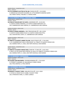RAZRED PRVACI - CHAMPION CLASS *ŽENKE - FEMALES*

**33.LITTLE MONKEYS GLITTER IN THE AIR**, FI54591/20 OŠT., 13-10-2020 O: DREAM SILK ECCELENTE EDUARDO, M: LITTLE MONKEYS DANCING QUEEN UZG. RIIKKA TAIPALE, FINLAND, VL. NASKALI MARI

**FCI: III-86 JORKŠIRSKI TERIJER / YORKSHIRE TERRIER**

RAZRED MLADI - JUNIOR CLASS *MUŽJACI - MALES*

**34.STARS OF HEAVEN BEST OF ZUNTA**, SHSB780495 OŠT., 24-03-2021 O: ZUNTA'S HAIMA HARDWELL, M: ZUNTA'S HAIMA MERCEDES LUX UZG. ZUBERBUHLER LARA VANESSA, VL. ZUBERBÜHLER LARA VANESSA

RAZRED OTVORENI - OPEN CLASS *MUŽJACI - MALES*

**35.ZUNTA'S HAIMA HARDWELL**, CBKC PRB/18/02180 OŠT., 08-12-2018 O: ZUNTA'S HAIMA GREEN VALLEY, M: ZUNTA'S HAIMA KISS N'TELL UZG. IVAN MICHAEL ZUNTA, VL. ZUBERBÜHLER LARA VANESSA

RAZRED OTVORENI - OPEN CLASS

*ŽENKE - FEMALES*

**36.TRIBUTE TO QUEEN'S JAMMY FELLOW**, VDH/CYT03675 OŠT., 27-04-2020 O: CH. SHARMNATAN'S HIGH FLYING ROCKET, M: TRIBUTE TO QUEEN'S FRENCH KISS UZG. MARINA FORTE, VL. NAGL UND FORTE MICHELLE UND MARINA

#### RAZRED PRVACI - CHAMPION CLASS

*ŽENKE - FEMALES*

**37.TRIBUTE TO QUEEN'S INDIGO ROSE**, ÖHZB NR. YT 3045 OŠT., 24-02-2019 O: MULTI CH LAS VEGAS WILD FANTASY, M: MULTI CH TRIBUTE TO QUEEN'S FRENCH KISS UZG. MARINA FORTE, VL. NAGL UND FORTE MICHELLE UND MARINA

**FCI: I-15 GRENENDEL / GROENENDAEL**

RAZRED OTVORENI - OPEN CLASS *ŽENKE - FEMALES*

**38.ALLEGRA VON MACANERA**, VDHDKBS19GR6956 OŠT., 27-05-2019 O: ETERNITY'S KWANDO, M: MACARENA DI TORRE D'ARESE UZG. PFEIL KERSTIN, VL. PFEIL KERSTIN

**FCI: I-44 BOSERON / BEAUCERON**

RAZRED PRVACI - CHAMPION CLASS

*MUŽJACI - MALES*

**39.MURPHY Z HUSOVY TVRZE**, CMKU/BC/5743 OŠT., 04-11-2018 O: FATHO LE COEUR PUR, M: ISABEL Z HUSOVY TVRZE UZG. OTRADOVEC KAREL, VL. ŠAKIĆ LUDMILA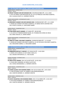**FCI: I-347 ŠVICARSKI BIJELI OVČAR / WHITE SWISS SHEPHERD DOG**

RAZRED MLADI - JUNIOR CLASS

*MUŽJACI - MALES*

**40.FREAKY FEODOR VON DER WEISSEN HEX**, VDH/RWS20/3884 OŠT., 26-11-2020 O: HAY JAY PRINCE VOM NIEHUSER SEE, M: ILVY ICE PRINCESS VON KINGS SILBERTAL UZG. CLAUDIA SCHATZ, VL. WERNER CHRISTIN

RAZRED MEĐURAZRED - INTERMEDIATE CLASS *MUŽJACI - MALES*

**41.ERZKONIG EVANDER VON DER WEISSEN HEXE**, VDHRWS20/3871 OŠT., 21-11-2020 O: IRONCLAD IVANDER VON KING'S SILBERTAL, M: IBANEZ WHITE SHEPARD FAYE UZG. SCHATZ CLAUDIA, VL. WIECZOREK SABINE

RAZRED PRVACI - CHAMPION CLASS *MUŽJACI - MALES*

**42.EYMJI RIDER WHITE WINNER**, LOF 36036 OŠT., 08-08-2020 O: CH.JAYCE OF TREBONS BERGER BLANC, M: O'HANNA DES ECRINS DE SIRIUS UZG. MME JOSSELIN, VL. MARIA ARENA

RAZRED MEĐURAZRED - INTERMEDIATE CLASS *ŽENKE - FEMALES*

**43.JINNI IN A JEWEL VON KING'S SILBERTAL**, VDHRWS20/3858 OŠT., 11-10-2020 O: IRONCLAD IVANDER VON KING'S SILBERTAL, M: GO FOR GOLD VON KING'S SILBERTAL UZG. WIECZOREK SABINE, VL. WIECZOREK SABINE

**FCI: I-332 ČEHOSLOVAČKI VUČJAK / CZECHOSLOVAKIAN WOLFDOG**

RAZRED PRVACI - CHAMPION CLASS *MUŽJACI - MALES*

**44.AMBERWOLFROYALTY VINCENT**, EST-03424/18 OŠT., 14-02-2018 O: ERON LUPUS ARDOR, M: EAST WIND Z MOLU ES UZG. OKSANA HRYHORYEVA, VL. TODI JELENA

RAZRED VETERANI - VETERAN CLASS *MUŽJACI - MALES*

**45.ANUK ATIUS TIRAWA**, VDH 14/116 00778 OŠT., 03-05-2014 O: COLIN GREY DIAMOND, M: MISHU ZLATÁ PALZ UZG. SVENJA GROSSMANN, VL. WERNER CHRISTIN

RAZRED PRVACI - CHAMPION CLASS *ŽENKE - FEMALES*

**46.COSMA ALIONA VON ISEGRIMS ERBEN**, VDH 19/116 01061 OŠT., 10-01-2020 O: CAIR POTOMOK VLKOV, M: DOBRICA VOM DREIBURGENBLICK

UZG. CHRISTIN WERNER, VL. WERNER CHRISTIN

RAZRED RADNI - WORKING CLASS

*ŽENKE - FEMALES*

**47.AVAYA VALENTINA VON ISEGRIMS ERBEN**, VDH 17/116 00905 OŠT., 14-02-2017 O: ESO SPOD ĎUMBIERA, M: DOBRICA VOM DREIBURGENBLICK UZG. CHRISTIN WERNER, VL. WERNER CHRISTIN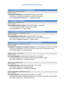#### **FCI: I-313 SCHAPENDOES / DUTCH SCHAPENDOES**

RAZRED PRVACI - CHAMPION CLASS *MUŽJACI - MALES*

**48.JAKSON DE FORLHAND**, LOF1CHAP3025/463 OŠT., 10-02-2014 O: CRACK DE LA HUME DES DOMBES, M: GALYS DE FORLHAND UZG. CHARBONNIER FRANCOISE, VL. LAVERGNE MARTINE

#### **FCI: I-83 ŠIPERKE / SCHIPPERKE**

RAZRED PRVACI - CHAMPION CLASS *ŽENKE - FEMALES*

**49.SLAVJANKA SCARLET O'HARA**, VDHVK201276U OŠT., 13-07-2019 O: CH SLAVJAN BERLUSKONI, M: GRAI VEST VANESA UZG. BAKLUSHIN G.V., VL. KLEIN JANINE

#### **FCI: I-287 AUSTRALSKI GOVEDARSKI PAS / AUSTRALIAN CATTLE DOG**

RAZRED MEĐURAZRED - INTERMEDIATE CLASS *ŽENKE - FEMALES*

**50.WINDWARRIOR'S NORTH STAR**, FI43619/20 OŠT., 19-07-2020 O: DINGO STAR BLUE OCEAN, M: CIRCE SCOLATIUM FOR SOHE LIKE IT HOT UZG. TUULIA HEIKKINEN, FINLAND, VL. NASKALI MARI

#### **FCI: I-342 AUSTRALSKI OVČARSKI PAS / AUSTRALIAN SHEPHERD**

RAZRED MEĐURAZRED - INTERMEDIATE CLASS *MUŽJACI - MALES*

**51.RAINBOW TO HEAVEN DE LA LÉGENDE DE LORELEI**, LOF 1 B.AUS 126019/11144 OŠT., 14-09-2020 O: IMÉO DE LA BRONNMATT, M: ONYX LITTLE JEWELS HOANA YOU'LL NEVER WALK ALONE UZG. BAUER JOANNA, VL. BAUER JOANNA

RAZRED OTVORENI - OPEN CLASS

*MUŽJACI - MALES*

**52.DOCENT KASCARO**, CMKU/AUO/5837/19/21 OŠT., 25-09-2019 O: SENTIKKI RIX ABSOLUTE VALUE, M: FANTASY SHOW PERFECT MAGIC UZG. HANA PURMOVÁ, VL. CHOCHOLATÁ JULIE

RAZRED MLADI - JUNIOR CLASS

*ŽENKE - FEMALES*

**53.CHANCE KASCARO**, CMKU/AUO/7059/20 OŠT., 28-11-2020 O: PHOENIX ELVIKAM, M: ALISSON KASCARO UZG. HANA PURMOVÁ, VL. DŽUBÁKOVÁ ADRIANA

RAZRED MEĐURAZRED - INTERMEDIATE CLASS *ŽENKE - FEMALES*

**54.GALAXY KASCARO**, CMKU/AUO/7034/20 OŠT., 23-11-2020

O: RISINGSTAR'S WHAT LEGENDS ARE MADE OF, M: LULLABY FOLK SONG OF PIEK' SHAWI UZG. HANA PURMOVÁ, VL. CHOCHOLATÁ JULIE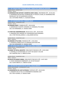**FCI: I-367 MINIJATURNI AMERIČKI OVČAR / MINIATURE AMERICAN SHEPHERD**

RAZRED MLADI - JUNIOR CLASS

*MUŽJACI - MALES*

**55.MORNINGSTARS NOTHIN`S WORRYIN JOHNY ANGEL**, DN67090303 OŠT., 26-05-2021 O: MORNINGSTAR NOTHIN`S WORRYIN ME AT PEACEFUL ACRES, M: MORNINGSTARS MOONLIGHT ON THE MARRAKESH EXPRESS UZG. KAYVONNE PRIMM, VL. OLEKSIAK MARIKA

**FCI: I-297 GRANIČARSKI KOLI / BORDER COLLIE**

RAZRED PRVACI - CHAMPION CLASS *MUŽJACI - MALES*

**56.DEMSSIN CRIKEY**, FI36894/18 OŠT., 20-05-2018 O: BORDERLINE COUNTRY LEONARDO, M: DEMSSIN LITTLE ROSE UZG. EIJA HERNANDEZ, VL. NASKALI MARI

**57.STORY REX UNDERPRESSURE**, ROI19/124111 OŠT., 28-04-2019

O: WINPARA SOUL DRAGON, M: PUKAWIDGEE BUSH ROMANCE UZG. STORY REX BALLARDINI, VL. BALLARDINI NATALE

RAZRED PRVACI - CHAMPION CLASS *ŽENKE - FEMALES*

**58.DEMSSIN LITTLE ROSE**, FI20428/16 OŠT., 14-02-2016

O: DEMSSIN STORMCLOUD, M: DEMSSIN QUESTION SPIN

UZG. EIJA HERNANDEZ, VL. NASKALI MARI

**FCI: I-39 VELŠKI KORGI PEMBROKE / WELSH CORGI PEMBROKE**

RAZRED PRVACI - CHAMPION CLASS

*MUŽJACI - MALES*

**59.DANNY OF ROYAL ANCESTRY**, CMKU/WCP/1769/20/21 OŠT., 20-03-2020 O: DWYNELLA CUSTOM MADE, M: CATTY OD AZALKY Z VELVAR UZG. MARYŠKA JAN, VL. SRBOVÁ ALENA

RAZRED PRVACI - CHAMPION CLASS *ŽENKE - FEMALES*

**60.HELEN VELVARSKÁ FARMA**, CMKU/WCP/1706/19/21 OŠT., 18-07-2019 O: HOOK HANDMADE KINBERGER'S, M: EVE MY DELIGHT UZG. ALENA SRBOVÁ, VL. SRBOVÁ ALENA

**FCI: I-296 ŠKOTSKI OVČAR KRATKE DLAKE / COLLIE SMOOTH**

RAZRED MEĐURAZRED - INTERMEDIATE CLASS *MUŽJACI - MALES*

**61.DIAMONDFOX DE LUXE PLATINIUM**, FI18744/21 OŠT., 03-02-2021 O: ANDANTE DE'LIA TALE, M: DIAMONDFOX AMAZING LOVE UZG. PÄIVI IIVONEN, VL. NASKALI MARI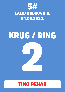

## KRUG / RING



### TINO PEHAR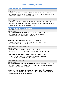#### **FCI: VI-161 BIGL / BEAGLE**

RAZRED RADNI - WORKING CLASS *MUŽJACI - MALES*

**62.POTTER MY PRECIOUS FRIEND DU HÊTRE AU LOUP**, 111596 OŠT., 02-03-2019 O: PUN KOTZKY GANGSTER OF LOVE, M: MISS HEDWIGE THE SNOWY OWL DE LA MEUTE D'ASTÉRION UZG. CANDICE LOUIS, VL. MILLESECK CORALIE

RAZRED MLADI - JUNIOR CLASS *ŽENKE - FEMALES*

#### **63.SON ANGE GARDIEN DE LA MEUTE D'ASTERION**, LOF 125683 OŠT., 17-05-2021 O: MILROC BRING THE ACTION, M: NATZU NEW EDITION DE LA MEUTE D'ASTÉRION UZG. MILLESECK CORALIE, VL. MILLESECK CORALIE

**FCI: VI-153 DALMATINSKI PAS / DALMATIAN**

RAZRED MLADI - JUNIOR CLASS *MUŽJACI - MALES*

**64.SERAPHIN D'ILLOUYOU DU MOULIN DE L'AGE**, LOF37646 OŠT., 24-06-2021 O: PHOEBUS DE L'ILE D'ESME, M: NOISETTE DU MOULIN DE L'AGE UZG. LOUCHART VALERIE, VL. VANDOREN JENNY

#### **66.LACRIMA CHRISTI CHAIRMAN**, HR 12542 OŠT., 01-03-2021

O: O'ZONE SANDMAN, M: LACRIMA CHRISTI CENTRE OF ATTENTION UZG. ANITA RADIC, VL. ROZLACH KAROLINA

RAZRED MEĐURAZRED - INTERMEDIATE CLASS *MUŽJACI - MALES*

**67.ENDGAME DI CÀ GILARDONI**, LO20122318 OŠT., 13-06-2020

O: CHICAGO IZ TERLETSKOY DUBRAVY, M: DARTEMIS VILLA CONTIS ARIZONA

#### **65.DREAM CATCHER IZ TERLETSKOY DUBRAVY**, PKR26194 OŠT., 04-02-2021 O: GWYNMOR HITCH HIKER, M: MELISSA IZ TERLETSKOY DUBRAVY UZG. PETRAKOVA IRINA, VL. ROZLACH KAROLINA

RAZRED PRVACI - CHAMPION CLASS

*MUŽJACI - MALES*

- **68.IR/INT CH ALIOTH MOONLIGHT SURPRISE OF KILGHARRA**, A21066 OŠT., 28-07-2016 O: CAPRILLI'S I HAVE A DREAM, M: EXCLUSIVE SEDUCTION SUNSET DALMATIAN UZG. MICHAEL JETMAR, VL. SMALL E, A & E
- **69.FUCHUR ARMINIUS VOM HAUSE FIEDANU**, VDHDZGD788/16 OŠT., 06-11-2016 O: CH. COLOURS OF MY LIFE OD HETTYNKY, M: CH. BASIMA VOM HAUSE FIEDANU UZG. FIEDLER ANNE, VL. DRECHSLER ANJA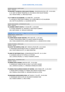RAZRED NAJMLAĐI - PUPPY CLASS *ŽENKE - FEMALES*

**70.MADAME THUSNELDA VOM HAUSE FIEDANU**, VDHDZGD2453/2021 OŠT., 20-10-2021 O: CH. BEST OF BREED TROMPINO, M: FEE AMILIA VOM HAUSE FIEDANU UZG. FIEDLER ANNE, VL. DRECHSLER ANJA

#### **71.JE T'AIME DI CÀ GILARDONI**, 21217898 OŠT., 13-09-2021

O: CHICAGO IZ TERLETSKOY DUBRAVY, M: CUORE RIBELLE DI CÀ GILARDONI UZG. MATTIA GILARDONI, VL. GILARDONI MATTIA

RAZRED MEĐURAZRED - INTERMEDIATE CLASS *ŽENKE - FEMALES*

**72.LACRIMA CHRISTI COCKTA**, VI-25236 OŠT., 21-09-2020 O: O'ZONE SANDMAN, M: UNIVERSE IZ TERLETSKOY DUBRAVY UZG. ANITA RADIC, VL. ROZLACH KAROLINA

**FCI: VI-146 RODEZIJSKI RIĐBEK / RHODESIAN RIDGEBACK**

RAZRED MLADI - JUNIOR CLASS *MUŽJACI - MALES*

**73.CASPER BRAVE HEART KENTANI**, SPKP 2694 OŠT., 11-07-2021 O: MAX Z TIKOVICKÉHO VRŠKU, M: ASHLEY QUEEN OF KENTANI UZG. IVANA JAKABOVICOVA, MARIE GABRIELOVA, VL. JAKABOVICOVA IVANA

RAZRED OTVORENI - OPEN CLASS *MUŽJACI - MALES*

**74.ALTAIT THE HOPEFUL STAR**, MET. RHOD.R.279/20 OŠT., 02-10-2019 O: MAWANDA MOON BROSS ZION, M: CAMISHA ARTE CASSARI UZG. FÜLÖP ORSOLYA KITTI, VL. BAKO KRISZTINA

**75.JAIKO OF MUTARAZI FALLS**, LOF6RHORID4307/594 OŠT., 01-11-2014

O: ELANGENI LION OUT OF AFRICA, M: IPSYANA UZG. LECROCQ HÉLÈNE, VL. FASOLA YASMINA LUDOVIC

RAZRED PRVACI - CHAMPION CLASS *MUŽJACI - MALES*

**76.EREBOS ARTE CASSARI**, SPKP2332 OŠT., 27-01-2019 O: KANGELAN´S SADIKI BY RED, M: BELL´S-JOY ARTE CASSARI UZG. LIKIEROVA ZUZANA, VL. VRŠANSKA OHRABLOVA KARIN

**77.SABAKU INUS GLORIOUS MAKOA OF GEORGE**, SHSB 769062 OŠT., 31-05-2019 O: NDOKI GENTLE GEORGE, M: SABAKU INUS NESSA OF MEUS MILO UZG. PERNILLA HALLSTRÖM, VL. BOSSARD MICHAEL & PETRA

**78.MAWANDA MOON BROSS ZION**, MET.RHOD.R. 7/16 OŠT., 23-05-2016 O: MKANQAWI AKIIKI ALVIN, M: BULAWAYO BAOBAB FANA UZG. KOBZOS GÁBOR, VL. ORCZI VIRÁG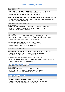RAZRED MLADI - JUNIOR CLASS *ŽENKE - FEMALES*

**79.AVE CAESAR SUPER TROUPER LOVA STAR**, SE19729/2021 OŠT., 21-02-2021 O: AVE CAESAR GREAT GALAXY, M: ELANGENI FRIENDS IN HI PLACES UZG. ELENA JOHANSSON, VL. BOSSARD MICHAEL & PETRA

**80.FA LAANI FRITZI V MBWA MEMA SILVERMOUNTAIN**, VDH 21/109 16380 OŠT., 19-05-2021 O: MACUMAZAHN QUANDOYAS TOP GUN, M: BABUU NALANI MBWA MEMA OF SILVERMOUNTAIN UZG. BRITTA RIEK, VL. RIEK BRITTA

RAZRED MEĐURAZRED - INTERMEDIATE CLASS *ŽENKE - FEMALES*

**81.INCREDIBLE ART ELDER FLOWER**, MET.RHOD.R.359/H/21 OŠT., 09-09-2020 O: RR'SHUFFLING MOTION SHALYAPIN, M: SAN VERA ANASTEISHA UZG. ARINA TARASOVA, VL. ORCZI VIRÁG

RAZRED OTVORENI - OPEN CLASS *ŽENKE - FEMALES*

**82.THE KING OF SAVANNAH POPPY POMFRESH**, LOF6329 OŠT., 27-04-2019 O: LEO DU ROYAUME DE L'ESPINA, M: MASAI MARA DES PORTES DE LA MORIA UZG. FASOLA LUDOVIC, VL. FASOLA YASMINA LUDOVIC

**83.BEATRIS THE BRAVE KENTANI**, SPKP2481 OŠT., 19-01-2020 O: ADDY JONAS NYAMBE, M: FOLLOW MY HEART BY LUANDA UZG. GABRIELOVA MARIE, VL. ASTALOSOVA LENKA

RAZRED PRVACI - CHAMPION CLASS *ŽENKE - FEMALES*

**84.MASAI MARA DES PORTES DE LA MORIA**, LOF6RHORID5216/0 OŠT., 19-12-2016 O: EKURHULENI DES SABLES DU NORD, M: JUNGLE RIDGE GINZA UZG. ISENBAUM ANNA, VL. FASOLA YASMINA LUDOVIC

**85.ASHLEY THE QUEEN OF KENTANI**, SPKP2274 OŠT., 02-06-2018

O: MAANHAAR PRIMO - CREATUS FATEFUL BENJAMIN, M: FOLLOW MY HEART BY LUANDA UZG. GABRIELOVA MARIE, VL. GABRIELOVA MARIE

**FCI: II-143 DOBERMAN / DOBERMANN** RAZRED MEĐURAZRED - INTERMEDIATE CLASS *ŽENKE - FEMALES*

**86.PANTHERA DI ALTOBELLO**, JR 720369 OŠT., 08-08-2020 O: DESTINY'S PHOENIX NADAL, M: MAGDALENA NERA DI ALTOBELLO UZG. DEJAN MALBAŠA ALTOBELLO, VL. BUGARIN LJUBISA

#### **FCI: II-147 ROTVAJLER / ROTTWEILER**

RAZRED MLADI - JUNIOR CLASS

*ŽENKE - FEMALES*

**87.ETERNITY LOVE TITANIUM ROTT**, HR18608RW OŠT., 30-12-2020

O: MOSQUITO VOM QUERCUS WALD, M: ELECTRA VOM TONIS BERGEN UZG. SARA ALUJEVIĆ NOVOSELIĆ, VL. ALUJEVIĆ SARA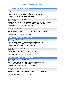#### **FCI: II-149 BULDOG / ENGLISH BULLDOG**

RAZRED PRVACI - CHAMPION CLASS

*MUŽJACI - MALES*

**88.UNBREAK BULL QUPIDON DIT SNOW**, LOSH1265832 OŠT., 25-08-2017 O: CH.BULLTATA LUCKY, M: CH.VOX POPULI MODUS VIVENDI UZG. GALERE FRANCOISE, VL. HEMMERYCKX JULIE

RAZRED MEĐURAZRED - INTERMEDIATE CLASS *ŽENKE - FEMALES*

#### **89.BUBULLD'OR RHO LE PETIT FLOCON-DE-NEIGE**, 35469/8040 OŠT., 12-10-2020 O: WILL BE BULLS UBER SEXY BULLY, M: RUBIS SMOOTH DIAMONT UZG. PAUX SEBASTIEN, VL. MILLESECK CORALIE

RAZRED PRVACI - CHAMPION CLASS *ŽENKE - FEMALES*

**90.MARLENKA KVÍTKO Z ČERTOVA**, CMKU/AB/7129/17 OŠT., 13-02-2017 O: STYLE BULLET IZAK, M: BUGATKA RENDOG UZG. IVANA LIŠKOVÁ, VL. SRBOVÁ ALENA

**FCI: II-225 BRAZILSKA FILA / FILA BRASILEIRO**

RAZRED OTVORENI - OPEN CLASS *MUŽJACI - MALES*

**91.MERCATOR DI COLLE MANZÚ**, ÖHZB FIBR 273 OŠT., 15-08-2019 O: HATAN DO BR TABAYARA, M: ELLY DI COLLE MANZÚ UZG. GIULIA MANZONI, VL. OELGARTE CLAUDIA

RAZRED VETERANI - VETERAN CLASS *ŽENKE - FEMALES*

**92.ALFIA NINYA ÓRE**, ÖHZB FIBR 267 OŠT., 30-05-2013 O: ARSON SKUHROVSKY HRADEK, M: KIBURI BIRENGO UZG. EVA HANDLOVA, VL. EBERL JOHANNES

**FCI: II-343 CANE CORSO / ITALIAN CORSO DOG**

RAZRED MEĐURAZRED - INTERMEDIATE CLASS *MUŽJACI - MALES*

**93.DARK DELLA COLLINA DEL CORSO**, ROI 21/8148 OŠT., 03-11-2020 O: AGOSTINO, M: PERLA DELLA COLLINA DEL CORSO UZG. ALFONSO VENTOLA, VL. KOLÁČEK RADOVAN

RAZRED PRVACI - CHAMPION CLASS

*MUŽJACI - MALES*

**94.BRANKO IVONI IMPERIAL**, CMKU/CC/4157/-18/17 OŠT., 27-04-2017 O: DJANGO UNCHAINED SANGUE MAGNIFICA, M: CHERA CORSO DI BELLEZZA UZG. IVAN ILCHEV, VL. KOLÁČEK RADOVAN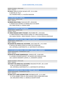RAZRED OTVORENI - OPEN CLASS *ŽENKE - FEMALES* **95.LAYLA**, CMKU/CC/4703/-20/18/21 OŠT., 23-11-2018 O: BOSTON, M: TELLY UZG. ROSARIO PEREZ, VL. KOLÁČEK RADOVAN

#### **FCI: II-309 SHAR PEI / SHAR PEI**

RAZRED MLADI - JUNIOR CLASS *ŽENKE - FEMALES*

**96.IRDENS GOLD PUMA**, FI16214/22 OŠT., 29-06-2021 O: IRDENS GOLD GEPARD, M: IRDENS GOLD UVA GRAPE UZG. IRINA ZOLINA, VL. NASKALI MARI

#### **FCI: II-157 BULMASTIF / BULLMASTIFF**

RAZRED MLADI - JUNIOR CLASS

*MUŽJACI - MALES*

**97.I BRAVI RAGAZZI HERE'S THE BEEF**, HR10718BM OŠT., 19-04-2021 O: I BRAVI RAGAZZI YANKE DOODLE DANDY, M: I BRAVI RAGAZZI SPARTA UZG. NADIA FURLON , I BRAVI RAGAZZI, ITALIJA, VL. ZUVELA GRIZUN VJENCESLAB

**FCI: II-235 NJEMAČKA DOGA, CRNA / GREAT DANE, BLACK**

RAZRED MLADI - JUNIOR CLASS

*ŽENKE - FEMALES*

**98.QUICKER DEL BORGO DEL CACCHIONE**, LOI2171065 OŠT., 14-12-2020 O: NEVILLE DEL BOSCO CEDUO, M: DAISY DE ESTHERLUNA

UZG. ANTONELLA SANTONOCITO, VL. SANTONOCITO ANTONELLA

**FCI: II-235 NJEMAČKA DOGA, HARLEKIN / GREAT DANE, HARLEQUIN**

RAZRED MEĐURAZRED - INTERMEDIATE CLASS

*ŽENKE - FEMALES*

**99.RAYLEE DU PHARE DUNKERQUOIS**, LOF83522 OŠT., 20-08-2020 O: LUCIANO D'OCHRETOLIEVALTT, M: NUIZAYA DES COROLLES D'IBIS UZG. LUDOVIC DESWARTE LUDOVIC, VL. DESWARTE LUDOVIC

RAZRED OTVORENI - OPEN CLASS

*ŽENKE - FEMALES*

**100.PURITY DEL BORGO DEL CACCHIONE**, ROILO2015770 OŠT., 06-11-2019 O: RAF, M: DAISY DE ESTHERLUNA

UZG. ANTONELLA SANTONOCITO, VL. SANTONOCITO ANTONELLA

**FCI: II-235 NJEMAČKA DOGA, PLAVA / GREAT DANE, BLUE**

RAZRED MEĐURAZRED - INTERMEDIATE CLASS *ŽENKE - FEMALES*

**101.BEST JOY TI AMO AZZURRO FIORE**, RKF5984216 OŠT., 15-11-2020 O: VITYAZ HRABRY VOIN, M: VIOLA AZZURO FIORE IZ MIRA MOIH GREZ UZG. BAKLANOVA IRINA, VL. GRAZIELLA GOUERY SEVERI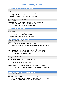#### **FCI: II-230 TIBETSKI MASTIF / TIBETAN MASTIFF**

RAZRED PRVACI - CHAMPION CLASS

*MUŽJACI - MALES*

#### **102.DEXTER MAGNOS DI-ZONG**, HR 10152 TM OŠT., 18-12-2018 O: YARAMANI DON, M: AXA

UZG. ČOLIG DALIBOR I MARTINA, VL. ŠKRABIĆ IVAN

RAZRED MEĐURAZRED - INTERMEDIATE CLASS *ŽENKE - FEMALES*

#### **103.CHANELL II VALHALLA PRIDE**, HR 10168 TM OŠT., 11-01-2021

O: IRTYSH KODŻAN, M: VIKTORJA FROM ARBENIKA UZG. PATRYCJA MARLEWSKA, VL. ŠKRABIĆ IVAN

**FCI: II-355 TORNJAK / TORNJAK**

RAZRED PRVACI - CHAMPION CLASS

*ŽENKE - FEMALES*

#### **104.SKY DALMATINSKI VRISAK**, HR 11879TOR OŠT., 08-11-2019

O: LANGE, M: LUMA DALMATINSKI VRISAK

UZG. ROBERT FILIPOVIĆ, VL. FILIPOVIĆ ROBERT

**FCI: II-145 LEONBERGER / LEONBERGER**

RAZRED OTVORENI - OPEN CLASS

*MUŽJACI - MALES*

#### **105.CASPER BUDDY MEMORY OF GINA**, ČLP/L/6219 OŠT., 04-01-2020 O: HENRY OD BRDSKÉ STUDÁNKY, M: ANGEL AMADEA MEMORY OF GINA

UZG. VERONIKA JURDOVÁ VRCHOTOVÁ, VL. KULHÁNKOVA PETRA

#### **106.JUVEN JAY JEDI DOBRYI LEONID**, ROI20180926 OŠT., 05-05-2020 O: AMICUS OPTIMUS DRUSUS, M: SHE VENUS IZ GALKINA GNEZDA

UZG. EFIMOVA I.E., VL. BARBERIO PAOLO

#### RAZRED PRVACI - CHAMPION CLASS

*MUŽJACI - MALES*

#### **107.ELVIS OD BEZDYNKY**, CMKU/L/5646/16 OŠT., 05-03-2017 O: VIGOS VOM KANIBERG, M: CELSEA OD BEZDYNKY UZG. PIMEK LUDVÍK, VL. ZEMAN JOSEF

#### **108.DUKE DRAKE NAJI LEONIS MERZARI**, ROI1751498 OŠT., 15-01-2017

O: NAILL MERZARI OF THE BERNESE GARDEN , M: BEA VOM LOEWENHAUS UZG. LEONIS MERZARI, VL. BARBERIO PAOLO

**FCI: II-50 NEWFOUNDLANDER / NEWFOUNDLAND**

RAZRED OTVORENI - OPEN CLASS *MUŽJACI - MALES*

#### **109.JONAS TEN LITTLE NIGRES**, HR 10586 NF OŠT., 11-05-2017 O: KING OF HELLULAND ORIENT EXPRESS, M: CHIVAS TEN LITTLE NIGRES UZG. DUK PAVELIĆ LJILJANA F.C.I. 2740, VL. LEONI LUCIJANA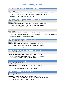**FCI: II-327 CRNI RUSKI TERIJER / RUSSIAN BLACK TERRIER**

RAZRED MEĐURAZRED - INTERMEDIATE CLASS *ŽENKE - FEMALES*

**110.CHERNYI ZHEMCHUG TAIR ZHEMCHUZHINA U MORYA**, CMKU/CET/1602 OŠT., 03-09-2020 O: BLEK ROSSI URAN, M: ELLI LESNAYA NIMFA S NADEZHDINOI POLJANY

UZG. GORYACHEVA I.F., VL. MALINSKA JANA

**FCI: II-45 BERNSKI PLANINSKI PAS / BERNESE MOUNTAIN DOG**

RAZRED OTVORENI - OPEN CLASS

*MUŽJACI - MALES*

**111.YORICK Z LABSKÉHO ZÁTIŠÍ**, CMKU/BSP/14283/20 OŠT., 10-07-2020 O: ROVER RIOMADEA GRANDE, M: PHOEBE Z LABSKÉHO ZÁTIŠÍ UZG. LENKA MAŠKOVÁ, VL. MOTALOVA JANA

RAZRED OTVORENI - OPEN CLASS

*ŽENKE - FEMALES*

#### **112.CARRAIGBERN LOVELY LADY**, A42117 OŠT., 25-12-2017

O: GB CH MEADOWPARK HIGH CLASS, M: IR CH WERLWIND'S CELTIC DREAM FOR CARRAIGBERN UZG. CINDY SWITZLER, VL. HUGHES VALERIE

**FCI: II-185 PATULJASTI PINČ / MINIATURE PINSCHER**

RAZRED OTVORENI - OPEN CLASS

*MUŽJACI - MALES*

**113.ALMINORIS RONALDO CRISTIANO**, OHZBZPI2997 OŠT., 12-03-2020

O: ASTALANTE WIND OF CHANCE, M: ALMINORIS DIVA DILAILA

UZG. NAIAKSHINA ELENA, VL. KOCH NICOLE

**FCI: II-181 ŠNAUCER VELIKI CRNI / SCHNAUZER, GIANT, BLACK**

RAZRED OTVORENI - OPEN CLASS

*ŽENKE - FEMALES*

**114.TEMIDA DYAS POLAND (FCI)**, PKR.II-137695 OŠT., 23-03-2019

O: GENTLY BORN SHAKESPEARE, M: INSPIRATION DYAS POLAND (FCI)

UZG. ANDRZEJ GRABAŁOWSKI, VL. BUCHTA DARIUSZ

**FCI: II-182 ŠNAUCER PAPAR-SOL / SCHNAUZER, PEPPER AND SALT**

RAZRED OTVORENI - OPEN CLASS

*MUŽJACI - MALES*

**115.SNOOPY SALTUS ZE ZAHRABSKE**, HR 10918 SS OŠT., 15-02-2020 O: NATHAN SALTUS ZE ZAHRABSKE, M: ISIS SALTUS ZE ZAHRABSKE UZG. SKOK DAMIR & MONIKA, VL. STRAŽIČIĆ MIRKO

**FCI: II-182 ŠNAUCER CRNI / SCHNAUZER, BLACK**

RAZRED OTVORENI - OPEN CLASS *MUŽJACI - MALES*

**116.DOLMA'S LING BILLY IDOL**, NO55331/16 OŠT., 30-11-2016 O: NATURAL TALENT OD DALAJSKÉHO POTOKA, M: DOLMA LING'S ULVA UZG. VIDAR ANDERSSEN, VL. FAVARO SABINA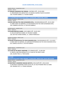RAZRED PRVACI - CHAMPION CLASS *MUŽJACI - MALES*

**117.MASAAL MAGNUM CHIC DREAM**, LO2078012 OŠT., 29-03-2020

O: OREGONIZED ON LABOUR DAY, M: MASAAL QUEENLY BLACK ELEGANCE UZG. FAVARO SABINA, VL. FAVARO SABINA

**FCI: II-183 ŠNAUCER PATULJASTI BIJELI / SCHNAUZER, MINIATURE, WHITE**

RAZRED OTVORENI - OPEN CLASS *MUŽJACI - MALES*

**118.ZICK ZACK MA TÈA VOM SCHWARZEN OPAL**, VDH20ZS43001618 OŠT., 05-01-2020 O: XEBEC MOET ICE IMPERIAL, M: POCAHONTAS MA TÈA VOM SCHWARZEN OPAL UZG. GABRIELE RICHTER, VL. RICHTER GABRIELE

RAZRED MLADI - JUNIOR CLASS *ŽENKE - FEMALES*

**119.OLENA BARTIGE HUNDE**, LOI21148815 OŠT., 06-03-2021 O: ZEUS BT BARTIGE HUNDE, M: FEELING'S AMBER UZG. BATTIGE HUNDE KENNEL, VL. LARGHI FRANCESCA

RAZRED OTVORENI - OPEN CLASS

*ŽENKE - FEMALES*

**120.WILMA FEUERSTEIN MA TÉA VOM SCHWARZEN OPAL**, VDH19ZS43001615 OŠT., 22-10-2019 O: XEBEC MOET ICE IMPERIAL, M: KLÄRCHEN PEPPERMINZA MA TÉA VOM SCHWARZEN OPALZ UZG. GABRIELE RICHTER, VL. RICHTER GABRIELE

RAZRED PRVACI - CHAMPION CLASS *ŽENKE - FEMALES*

**122.FLASH IN THE NIGHT JOSEPHINE**, EST-03940/18 OŠT., 22-08-2018 O: AMSTEL AND DON MONOLITH, M: FLASH IN THE NIGHT ALIRA UZG. JELENA TODI, VL. TODI JELENA

**FCI: II-183** 

**ŠNAUCER PATULJASTI CRNO-SREBRNI / SCHNAUZER, MINIATURE, BLACK AND SILVER**

RAZRED PRVACI - CHAMPION CLASS

*MUŽJACI - MALES*

**123.BEATRICE'S DIAMOND HAKUNA MATATA**, HR12216PŠ OŠT., 09-02-2018

O: BEATRICE'S DIAMOND STORY OF MY LIFE, M: RUS PITMARK FREE AS A BIRD UZG. BRANKA IVIĆ, VL. FONJAK MIRJANA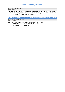RAZRED PRVACI - CHAMPION CLASS *ŽENKE - FEMALES*

**124.GALACTIC QUEEN FOR LUCKY GANG DARK ANGEL JULIA**, HR 12389 OŠT., 24-02-2018 O: AMAZIN VANQUISHER FOR WLANIMU'S MOY OBEREG, M: ANAIS DARK ANGEL JULIA UZG. YULIA NAKIDAYLO, VL. FONJAK MIRJANA

**FCI: II-183 ŠNAUCER PATULJASTI PAPAR-SOL / SCHNAUZER, MINIATURE, PEPPER AND SALT** RAZRED PRVACI - CHAMPION CLASS

*ŽENKE - FEMALES*

**125.FLASH IN THE NIGHT KARMA**, EST-01568/20 OŠT., 26-02-2020

O: SIL PANI V.D'N OPPASSER, M: MANDARINKA ASTRONAUT UZG. JELENA TODI, VL. TODI JELENA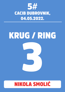

# KRUG / RING 3

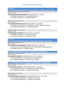**FCI: IV-148** 

**JAZAVČAR STANDARDNI KRATKE DLAKE / DACHSHUND, STANDARD, SMOOTH-HAIRED**

RAZRED MEĐURAZRED - INTERMEDIATE CLASS *MUŽJACI - MALES*

**126.MELEKOOSEN ANNA SEN SOIDA**, FI56424/20 OŠT., 21-10-2020 O: MINIMAAN FAHRENHEIT, M: NASEVAN AFRODITE UZG. MARIE PITKÄJÄRVI, VL. SARVIJÄRVI KRISTA

RAZRED RADNI - WORKING CLASS *MUŽJACI - MALES*

**127.HARALD MONACHELLO SUN'S**, FI45738/18 OŠT., 23-05-2018 O: KINDERTECKEL'S QUEST OF PALOMYDES, M: KANTRI PARK'S MOONLIGHT UZG. AGNESE KURZEMNIECE, VL. SARVIJÄRVI KRISTA

RAZRED VETERANI - VETERAN CLASS

*MUŽJACI - MALES*

**128.MINIMAAN FAHRENHEIT**, FI41422/12 OŠT., 22-06-2012 O: VÄNKÄRIN TUHATKAUNO, M: AIKAKILVAN IDA UZG. TEIJA MULTANIEMI, VL. SARVIJÄRVI KRISTA

#### **FCI: IV-148**

**JAZAVČAR STANDARDNI OŠTRE DLAKE / DACHSHUND, STANDARD, WIRE-HAIRED**

RAZRED RADNI - WORKING CLASS

*ŽENKE - FEMALES*

**129.ADELHEID VON DEN EISNERS**, OHZBRD25857A OŠT., 19-09-2019

O: GAUDENTIUS VON DER BISMARCK-EICHE, M: BRUNHILDE VOM WEIKERLSEE UZG. EISNER KATHRIN, VL. EISNER KATHRIN

**FCI: V-234 MEKSIČKI BEZDLAKI PAS MALI / XOLOITZCUINTLE, MINIATURE**

RAZRED PRVACI - CHAMPION CLASS

*ŽENKE - FEMALES*

**130.COLIMA OD REMETKY**, CMKU/MEN/101/15 OŠT., 26-09-2015 O: MC'ROC ARRAYAN, M: CENTOCIHUATL DE XOCONOCHCO UZG. KUBOŠOVÁ DANUŠE, VL. HABARTOVÁ KATEŘINA

**FCI: V-234 MEKSIČKI BEZDLAKI PAS SREDNJI / XOLOITZCUINTLE, INTERMEDIATE**

RAZRED VETERANI - VETERAN CLASS

*MUŽJACI - MALES*

**131.ACALAN OD REMETKY**, CMKU/MEN/66/13 OŠT., 30-06-2013 O: MC'ROC HIDALGO AZUL, M: CENTOCIHUATL DE XOCONOCHCO UZG. KUBOŠOVÁ DANUŠE, VL. HABARTOVÁ KATEŘINA

RAZRED ŠTENAD - BABY CLASS

*ŽENKE - FEMALES*

**132.BONITA MARÍA CALLI NACOLI**, CMKU/MEN/243/21 OŠT., 10-11-2021 O: ZVENTA SVENTANA INZHIR, M: COLIMA OD REMETKY UZG. KATEŘINA HABARTOVÁ, VL. HABARTOVÁ KATEŘINA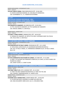RAZRED MEĐURAZRED - INTERMEDIATE CLASS *ŽENKE - FEMALES*

**133.JUST FIDELITI FEERIA**, CMKU/MEN/203/20 OŠT., 20-06-2020 O: ZVENTA SVENTANA MARANG, M: LIVELONG HIT ZHENEVIEVA UZG. GOYRINBERG V.A., VL. HABARTOVÁ KATEŘINA

**FCI: V-94** 

**PORTUGALSKI PODENGO KRATKODLAKI - MALI PORTUGUESE PODENGO, SHORT-HAIRED, SMALL** RAZRED VETERANI - VETERAN CLASS *MUŽJACI - MALES*

**134.PARAISO DE VIAMONTE**, DK13989/2014 OŠT., 23-03-2014 O: PTCH. DELFIM DE VIAMONTE, M: PTCH QUERIDA DE VIAMONTE UZG. MIGUEL SABINO, VL. DAN HELLE

RAZRED MLADI - JUNIOR CLASS

*ŽENKE - FEMALES*

#### **135.DAN-L´S PINCA POPPET**, DK08626/2021 OŠT., 18-04-2021

O: PARAISO DE VIAMONTE, M: INTCH PTCH DKCH TAPPINSKIS DARE YOU POUCA UZG. HELLE DAN, VL. DAN HELLE

#### **FCI: V-189 FINSKI LAPHUND / FINNISH LAPPHUND**

RAZRED MEĐURAZRED - INTERMEDIATE CLASS *MUŽJACI - MALES*

**136.CKORVAPUUSTI OF BULL'S ANGEL**, ROI20183132 OŠT., 14-11-2020

O: TAPLATASSU LAPIN KOUSTA, M: AEGIRSSON NAPAPIIRIN REVONTULI UZG. ALLE. OF BULL'S ANGEL, VL. FERRAMOSCA BARBARA ALLEV. OF BULL'S ANGEL BULL'S DI

**FCI: V-43 BASENĐI / BASENJI**

RAZRED MEĐURAZRED - INTERMEDIATE CLASS *ŽENKE - FEMALES*

#### **137.R'KA HABRANTHUS DES ÉVADÉS DU CONGO**, LOF 2860 OŠT., 13-12-2020

O: IDRIS, L'ATTACHANT DES FRINGANTS COMPLICES, M: ONYA, LA COCO CHANEL DES ÉVADÉS DU CONGO

UZG. GENET ELODIE, VL. GENET ELODIE

**FCI: V-97 NJEMAČKI ŠPIC PATULJASTI / GERMAN SPITZ, POMERANIAN**

RAZRED OTVORENI - OPEN CLASS *MUŽJACI - MALES*

**139.TOKIE TURN IT UP**, KCTH 115939447 OŠT., 24-12-2019

O: TOKIE THE FIRST GENERATION BOXSTER, M: TOKIE TOE THE LINE

UZG. CHAIWAT TANGKARAVAKUN, VL. HADZIC LEJLA

RAZRED PRVACI - CHAMPION CLASS

*MUŽJACI - MALES*

**140.NONE SUCH I WANNA ROCK**, SLRNSP-000262 OŠT., 23-09-2019

O: CH DAYSTAR GAYEL JALAPENO, M: NONE SUCH RED HOT

UZG. NIKA KOCJANČIČ, NONE SUCH, SLO, VL. KOCJANCIC NIKA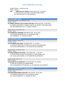RAZRED PRVAKA – CHAMPION CLASS ŽENKE - FEMALES

**138. NONE SUCH JUST FRIENDS**, SLRNSP-000215 OŠT., 29-08-2018 O: DAYSTAR GAYEL JALAPENO, M: GOLDEN GENERAL MERTIE UZG. NIKA KOCJANCIC, VL. NIKA KOCJANCIC

**FCI: V-257 SHIBA / SHIBA**

RAZRED MEĐURAZRED - INTERMEDIATE CLASS *MUŽJACI - MALES*

**141.SIBMAL FANTASY LUCK IS ALWAY WITH ME**, RKF5767653 OŠT., 26-08-2020 O: YAMRAY SADZUKARU TO SIBMAL FANTASY, M: INFINITY CHALLENGE AKENI UZG. BELLOBORODOVA OI, VL. FLENGHI LAURENT

RAZRED PRVACI - CHAMPION CLASS

*MUŽJACI - MALES*

**142.FOMINGOLD YUKIKHIRO**, RKF5487917 OŠT., 06-12-2018 O: KOTOSAMURAIMERKULOV, M: FOMINGOLD KAMI UZG. FOMINA GV, VL. FLENGHI LAURENT

**FCI: V-255 AKITA / AKITA**

RAZRED OTVORENI - OPEN CLASS *MUŽJACI - MALES*

**143.TSUKIMARU DELL'ORSO**, LO2049243 OŠT., 12-12-2019

O: ASAHI GO ISOSUZUEN, M: I'BISEI DE LA VALLEE DES SAMOURAIS

UZG. RUSSO ANNACHIARA, VL. OF KUMATANI ALLEVAMENTO

RAZRED PRVACI - CHAMPION CLASS

*MUŽJACI - MALES*

**144.SHIRATORISEIZA NO HYOGA**, LO17150956 OŠT., 11-07-2017 O: WASHITAROU GO ASKA FACA KENSHA, M: ISAMI HIKARU ZUKI UZG. ALISA LAURA SANZIN, VL. OF KUMATANI ALLEVAMENTO

RAZRED ŠTENAD - BABY CLASS

*ŽENKE - FEMALES*

**145.KASUMI GO OF KUMATANI**, LO2241148 OŠT., 01-12-2021 O: GINJI GO TOUSEIEN, M: OOKAMI KINAHI UZG. ALLEVAMENTO OF KUMATANI, VL. OF KUMATANI ALLEVAMENTO

**FCI: V-344 AMERIČKA AKITA / AMERICAN AKITA**

RAZRED ŠTENAD - BABY CLASS *MUŽJACI - MALES*

**146.HIGHLANDER KNIGHT APOLLON**, HR11106 OŠT., 08-12-2021 O: CAPRONCA FIREFIGHTER, M: KIA QOUEEN LOVREC

UZG. ANTE VRANJKOVIĆ, VL. VRANJKOVIĆ ANTE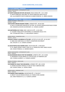#### **FCI: V-212 SAMOJED / SAMOYED**

RAZRED MEĐURAZRED - INTERMEDIATE CLASS *MUŽJACI - MALES*

**147.WHITE NOBLESSE BYE BYE JOE BLACK**, ROI21/19656 OŠT., 10-11-2020 O: WHITE NOBLESSE LORS OREO, M: WHITE NOBLESSE GRACE KELLEY UZG. ALLEVAMENTO WHITE NOBLESSE DI BEBER DENNYSE, VL. BEBER DENNYSE

**FCI: V-270 SIBIRSKI HASKI / SIBERIAN HUSKY**

RAZRED OTVORENI - OPEN CLASS

*MUŽJACI - MALES*

**148.PLAYER'S DREAM RAGING STORM**, LOF85679 OŠT., 06-04-2020

O: MULTI CH KRISTARI'S MASTER OF VICTORY, M: PLAYER'S DREAM NEVER BACK DOWN UZG. MASSON LECHEVIN OLIVIERCINDY, VL. FLENGHI LAURENT

**149.SANTSIERRA ICILY COLD**, MNE 1100/16 SH OŠT., 14-04-2016

O: TLESARIK TANGO WITH SANTISERRA, M: KARASOMA DOLCE VITA UZG. TATJANA BOTTERILL, VL. MALAVRAZIC IVANA D.

RAZRED PRVACI - CHAMPION CLASS

*MUŽJACI - MALES*

#### **150.NATTI HUSKY D-GLORIOUS LITTLE BOY**, LOF79711/11191 OŠT., 02-10-2017

O: SIBKA AGE GONE WILD, M: FROSTY-CHAMPIONS EDIZ BRIGHT

UZG. ZHULIN V.V, VL. FLENGHI LAURENT

#### **151.BALISTARYUS BLUE RISING STAR**, LOE2471036 OŠT., 24-08-2018

O: CH. INNER VISION'S VANITY FAIR, M: CH. ZHENEVJEVA GREY ANRUS HOUSE UZG. DIOGO FONSECA, VL. MERINO MARTA

#### RAZRED MEĐURAZRED - INTERMEDIATE CLASS *ŽENKE - FEMALES*

**152.BLOODSNOW REACH FOR THE RAINBOW**, LOF88731 OŠT., 26-12-2020 O: SNOEBEAR'S SILVER ARROW, M: JEALOUS DOLL OF SIBERIAN LADY UZG. FLENGHI LAURENT, VL. FLENGHI LAURENT

RAZRED OTVORENI - OPEN CLASS

*ŽENKE - FEMALES*

**153.PADME DU CHALET DES EDELWEISS**, LOF83837 OŠT., 08-11-2019 O: GEMINI SACHEM'S DREAM, M: ISKA OF WOLF SIBERIAN SONG UZG. VEZIEN CYNDIE, VL. VEZIEN CYNDIE

RAZRED RADNI - WORKING CLASS *ŽENKE - FEMALES*

**154.PAKIRA STARS PANDORA**, RKF4879399 OŠT., 27-08-2017

O: BRIGHT COLOUR DREAM SPEIGAS, M: PAKIRA STARS JASMINE UZG. MME PANSKAYA K.S, VL. FLENGHI LAURENT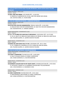#### **FCI: VIII-312 NOVA SCOTIA DUCK TOLLING RETRIEVER / NOVA SCOTIA DUCK TOLLING RETRIEVER**

RAZRED OTVORENI - OPEN CLASS *MUŽJACI - MALES*

**155.BELL AND FIRE ERMAK**, LOF1196/90 OŠT., 11-06-2019 O: MANITOU'S AMERICAN PIE, M: BELL AND FIRE AMORE MIO ARUBA

UZG. ISOTOVA ANNA, VL. FACON ANNE

#### **FCI: VIII-122 LABRADOR RETRIVER / LABRADOR RETRIEVER**

RAZRED OTVORENI - OPEN CLASS *MUŽJACI - MALES*

**156.PETER PAN VON DER SOMMERHÖHE**, ÖHZB LR 14014 OŠT., 22-03-2020

O: ENGLISH ROCK VON DER SOMMERHÖHE, M: HIGH FIVE VON DER SOMMERHÖHE UZG. KAGHOFER IRIS, VL. HORNAK SABRINA

RAZRED MEĐURAZRED - INTERMEDIATE CLASS

*ŽENKE - FEMALES*

**157.CH. J PT CH BRISA DEL MAR NALA'S BROADWAY**, LOE2518241 OŠT., 01-07-2020 O: CIE CH. MULTI CH. BRISA DEL MAR VAINILLA ICE CREAM, M: BRISA DEL MAR PIOLIN UZG. PALOMA QUIROS, VL. QUIROS SEGOVIA PALOMA

RAZRED PRVACI - CHAMPION CLASS

*ŽENKE - FEMALES*

**158.BRISA DEL MAR GRACE KELLY W JW**, LOE2454941 OŠT., 08-11-2018 O: CH. E ROBIN DE LA MURADA, M: CIE CH. BRISA DEL MAR AN ANGEL UZG. PALOMA QUIROS, VL. QUIROS SEGOVIA PALOMA

**FCI: VIII-111 ZLATNI RETRIVER / GOLDEN RETRIEVER**

RAZRED MEĐURAZRED - INTERMEDIATE CLASS *MUŽJACI - MALES*

**159.TEDDY Z KARPENTNÉ**, ČLP/GR/22141 OŠT., 24-09-2020 O: KALIF IZ DOLINY SOLNCA, M: DEBIE Z KARPENTNÉ UZG. IVANA KUČEROVÁ, VL. KOUTNÁ MARTINA

RAZRED PRVACI - CHAMPION CLASS

*MUŽJACI - MALES*

**160.BARRIER'S GOLDEN DEEP IN MY HEART DANTE**, VDHDRCG1637100 OŠT., 24-03-2016 O: VESTAFJELL'S MAGIC ELF, M: BARRIER'S GOLDEN BEST FELLOW BROOKE UZG. LYDIA MUNNICH, VL. MUENNICH LYDIA

RAZRED RADNI - WORKING CLASS *MUŽJACI - MALES*

**161.KIMI Z KARPENTNÉ**, ČLP/GR/19545 OŠT., 29-01-2018 O: NENUORAMOS LORD WIZARD, M: DEBIE Z KARPENTNÉ UZG. IVANA KUČEROVÁ, VL. KOUTNÁ MARTINA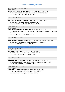RAZRED MEĐURAZRED - INTERMEDIATE CLASS *ŽENKE - FEMALES*

**162.IHNETALS GOLDEN AMAZING AMBER**, DRCG2043510 OŠT., 29-11-2020 O: VESTAFJELL'S QUITE KNIGHT, M: CROSS MEADOWS GOLDEN BETSY UZG. MANUELA QUITER, VL. QUITER MANUELA

RAZRED OTVORENI - OPEN CLASS *ŽENKE - FEMALES*

**163.CROSS MEADOWS GOLDEN BETSY**, DRCG1738739 OŠT., 30-11-2016

O: MAJIK TRUTH OR DARE, M: SHYRA'S GOLDEN FINE

UZG. GERD UND SONJA HOFMANN, VL. QUITER MANUELA

RAZRED PRVACI - CHAMPION CLASS *ŽENKE - FEMALES*

**164.BARRIER'S GOLDEN ENJOY LIFE EMILIA**, VDHDRCG1840471 OŠT., 06-08-2018 O: FENWOOD ELL MASTERPIECE AT BLUEWATERS, M: BARRIER'S GOLDEN BEST FELLOW BROOKE UZG. MUNNICH LYDIA, VL. MUENNICH LYDIA

RAZRED VETERANI - VETERAN CLASS

*ŽENKE - FEMALES*

**165.BARRIER´S GOLDEN BEST FELLOW BROOKE**, VDHDRCG1231513 OŠT., 14-06-2012 O: MAJIK TRUTH OR DARE , M: TIMELESS GOLDEN ESPECIAL EVENT UZG. MUENNICH LYDIA, VL. MUENNICH LYDIA

**FCI: VIII-336 ŠPANJOLSKI PAS ZA VODU / SPANISH WATERDOG**

RAZRED PRVACI - CHAMPION CLASS *MUŽJACI - MALES*

**166.ZORRAZO NEWSFLASH**, HR10145SVP OŠT., 06-11-2017 O: CH ZORRAZO ZEUS, M: YGEIA DESIGNED BY ZORRAZO UZG. MARIKA FREDRIKSON, VL. TROMPKA DANIELA

RAZRED MLADI - JUNIOR CLASS *ŽENKE - FEMALES*

**167.MARONDERA AGAINST ALL ODDS**, VDH21/125 01637 OŠT., 22-06-2021 O: VALENTISIMOS CHARLESTON AT ZORRAZO, M: CH ZORRAZO AFTER EIGHT UZG. DANIELA TROMPKA, VL. TROMPKA DANIELA

RAZRED PRVACI - CHAMPION CLASS *ŽENKE - FEMALES*

**168.ZORRAZO AFTER EIGHT**, VDH21/125 Ü01634 OŠT., 31-03-2019 O: CH WAU I AM GAUDI, M: CH ZORRAZO ZUGAR ZWEETIE UZG. MARIKA FREDRIKSON, VL. TROMPKA DANIELA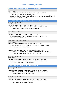**FCI: VIII-298 LAGOTTO ROMAGNOLO / LAGOTTO ROMAGNOLO**

RAZRED PRVACI - CHAMPION CLASS

*ŽENKE - FEMALES*

**169.KAN TRACE YOU CROSS MY PATH**, HR 10976 LAG OŠT., 30-11-2019 O: ADAM OCRINA, M: KAN TRACE NELLY BERRY

UZG. ZDUNIĆ ŠINKOVIĆ SABINA & KALEČAK RADOVANOVIĆ N., VL. ZDUNIĆ ŠINKOVIĆ SABINA & LUČIN ANTE, LEE STACYEE

**FCI: VIII-5 ENGLESKI KOKER ŠPANIJEL / ENGLISH COCKER SPANIEL**

RAZRED PRVACI - CHAMPION CLASS

*MUŽJACI - MALES*

**170.HITCH-COCK'S DEVILS HELMET**, DK03508/2017 OŠT., 06-03-2017 O: HITCH-COCK'S ROBIN HOOD, M: HITCH-COCK'S ONE DEVILISH DREAM UZG. PERNILLE BORCH PEDERSEN, VL. LARSEN HENRIK

RAZRED MLADI - JUNIOR CLASS

*ŽENKE - FEMALES*

**171.DAN-L´S TEN IS MINE**, DK12455/2021 OŠT., 19-05-2021 O: DKCH DIXIE REBEL FROM PEGGYWOOD, M: DAN-L´S NINE IS MINE UZG. HELLE DAN, VL. DAN HELLE

RAZRED MEĐURAZRED - INTERMEDIATE CLASS *ŽENKE - FEMALES*

**172.DAN-L'S FOREIGN AFFAIR**, DK20377/2020 OŠT., 05-10-2020 O: DIXIE REBEL FROM PEGGYWOOD, M: COCKERBLUES FORREST FLOWER UZG. HELLE DAN, VL. LARSEN HENRIK

#### **173.COVENANT SEDUCTION**, COR A 5967-21/005 OŠT., 16-09-2020

O: FIVE O'CLOCK DANCE CLINT, M: FIVE O'CLOCK DANCE INDIRA AT COVENANT UZG. LINCU VALERIA ALINA, VL. NICOLETA ELENA MITISOR

#### RAZRED PRVACI - CHAMPION CLASS

*ŽENKE - FEMALES*

**174.COCKERBLUES FORREST FLOWER**, DK01276/2019 OŠT., 24-09-2018 O: BACKHILLS LIVING THE DREAM, M: COCKERBLUES EXCLUSIVE LINE

UZG. MARIE JOHANSSON, VL. LARSEN HENRIK

#### **FCI: X-200 MALI TALIJANSKI HRT / ITALIAN GREYHOUND**

RAZRED OTVORENI - OPEN CLASS *MUŽJACI - MALES*

**175.CORIANDOLO DEL COLLE FOLIGNATO**, SHSB771617 OŠT., 15-02-2019 O: PEPE PER ALMARGENTEA, M: NEVECANDIDA DEL COLLE FOLIGNATO UZG. MICARELLI SIMONA, VL. SÖREN GROENE

RAZRED PRVACI - CHAMPION CLASS *MUŽJACI - MALES*

**176.FAMOUS VOM PALAST DER WINDE**, SHSB748605 OŠT., 26-06-2016 O: FLAVIEN DES PRINCES D KAZAN, M: JAMILA DE VALVERDE SANTO UZG. BASTEK URSULA, VL. SÖREN GROENE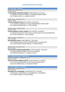#### **FCI: X-162 VIPET / WHIPPET**

RAZRED MLADI - JUNIOR CLASS *MUŽJACI - MALES*

**177.MARQUISEE MARTAINN SYNERGY**, PKRX12348 OŠT., 03-01-2021 O: LLAMBERT LLYWELLYN SYNERGY, M: GLORIANA REGINA SYNERGY UZG. TOMASZ KUSZYK, VL. LAZAREVA VIOLETA

RAZRED PRVACI - CHAMPION CLASS

*MUŽJACI - MALES*

#### **178.PALLID DRAGON DEVON**, WH 5182 OŠT., 30-05-2016

O: CH. QUEBELLE'S ARNAUD, M: PALLID DRAGON BOND'S HONEY RYDER UZG. HEIKE & GERHARD KAIN, VL. FLÜGE VANESSA

RAZRED VETERANI - VETERAN CLASS *MUŽJACI - MALES*

**179.BLUE BARON OF LORDLY ESSENCE**, WH 17358 OŠT., 28-09-2013 O: LORD BLACK AND WHITE LIVELY PACK, M: GINA LOUISA AUS DEM GNOMENHAIN UZG. HEIKE SCHNEIDER, VL. FLÜGE VANESSA

RAZRED OTVORENI - OPEN CLASS

*ŽENKE - FEMALES*

**180.MILLRIVER'S FANCY**, SHSB771880 OŠT., 28-01-2020

O: ESPLENDIGOS DOLCE GUSTO, M: PERSEPHONE V.D. MUHLEHALDE

UZG. LAUPER ANDRIST NICOLE ROMAN, VL. STEINER PAMELA

#### RAZRED PRVACI - CHAMPION CLASS

*ŽENKE - FEMALES*

**181.MISTFIELD TYRANDE WHISPERWIND**, LVVP1675/20 OŠT., 22-04-2019 O: AANISTON WHEN IN ROME, M: MY LITTLE UNIVERSE UZG. DARKLIN MYSTIQUE, VL. LAZAREVA VIOLETA

**FCI: X-158 GREYHOUND / GREYHOUND**

RAZRED MEĐURAZRED - INTERMEDIATE CLASS *MUŽJACI - MALES*

**182.ESTET CLASSIC CARNIVAL DANCE**, EST-05151/20 OŠT., 31-10-2020 O: AIRY ELF'S OPTIMUS PRIME, M: ESTET CLASSIC SNOW QUEEN UZG. OLGA GORBATSJOVA, VL. KOZLOVSKA SANITA

**FCI: X-307 AZAWAKH / AZAWAKH**

RAZRED PRVACI - CHAMPION CLASS

*ŽENKE - FEMALES*

**183.MEISSA DE LA DEHANNAIE**, LOFAZ1442/0 OŠT., 07-09-2016 O: HEDJAZI DE LA DEHANNAIE, M: HELLESMERA DE LA DEHANNAIE UZG. AUDREY MARRO, VL. BLAKE VANESSA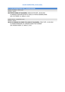**FCI: X-228 AFGANISTANSKI HRT / AFGHAN HOUND** RAZRED OTVORENI - OPEN CLASS

*MUŽJACI - MALES*

**184.POPOVS SIMBA OF KILGHARRA**, NHSB 3157270 OŠT., 30-04-2019 O: BARAKAH ZAIM MIN SZITAR AL-FIDDA, M: POPOVS BOMBALURINA UZG. FJD TROMP, VL. SMALL E, A & E

RAZRED PRVACI - CHAMPION CLASS *MUŽJACI - MALES*

#### **185.IR CH CHINZAES IN COMES THE JUDGE OF KILGHARRA**, Z78217 OŠT., 13-03-2014

O: KHAMIS MONSOON, M: CHINZAES SHAKE THAT SHIMMY UZG. RHONA HOWIE, VL. SMALL E, A & E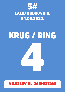

# KRUG / RING 4

### VOJISLAV AL DAGHISTANI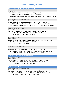#### **FCI: IX-101 FRANCUSKI BULDOG / FRENCH BULLDOG**

RAZRED MLADI - JUNIOR CLASS

*MUŽJACI - MALES*

#### **186.IMPROVISO ES BETELGEUSE**, ROI 2242841 OŠT., 10-05-2021

O: MIRUS TANGRAM BALTHASAR, M: A'VIGDORS SERAFINA

UZG. REFET HADZIC & SVJETLANA IVAHONENKOVA-POTEMKINA, VL. BRENCIC JASMINA

RAZRED MEĐURAZRED - INTERMEDIATE CLASS *MUŽJACI - MALES*

#### **187.GREY CLASSIC'S SPARKLING BONAMY**, JR706981FB OŠT., 19-01-2021 O: CH DONATELLO LA VIE BOHEME, M: CH. SPARKLING PRIDE LA VIE PROMISE

UZG. LENAERTS - VAN DER LINDEN EDWIN - ELS - GERARD, VL. VONK VAN DER LINDEN ELS

RAZRED PRVACI - CHAMPION CLASS

*MUŽJACI - MALES*

**188.MADDOX JUNIORS MONT TOULOUSE**, FCA82926 OŠT., 31-05-2019

O: LOVESTONEDAVLIS BLOA, M: NINA RICCI SLASKA GWARA UZG. MONT TOULOUSE, VL. LENAERTS EDWIN

RAZRED MLADI - JUNIOR CLASS

*ŽENKE - FEMALES*

#### **189.WINWAVE MISS MARVELOUS AT VANITYFAIR'S**, HR 12700 FBD OŠT., 21-11-2020

O: BACK ALL IN, M: VANITYFAIR'S BULLS DESTINY UZG. CARLA IVANCIC, VL. IVANCIC CARLA

#### RAZRED PRVACI - CHAMPION CLASS

*ŽENKE - FEMALES*

#### **190.GREY CLASSIC'S SPARKLING PRIDE**, JR705115FB OŠT., 15-05-2020 O: SPARKLING PRIDE JE T'AIME TELLEMENT, M:SPARKLING PRIDE ETOILLE BRILLANTE UZG. LENAERTS VONK EDWIN ELS, VL. VONK VAN DER LINDEN ELS

**FCI: IX-140 BOSTON TERIJER / BOSTON TERRIER**

RAZRED MLADI - JUNIOR CLASS

*ŽENKE - FEMALES*

#### **191.FRANTSUZKIY POTSELUY GOSSIP GIRL**, UKUINPROCESS OŠT., 22-05-2021 O: PHOENIX EMPIRE OF LEGENDS, M: FRANTSUZKIY POTSELUY TEKILA UZG. KODATSKAYA VITA, VL. SCHNICKE KERSTIN

**FCI: IX-253 MOPS / PUG**

RAZRED MEĐURAZRED - INTERMEDIATE CLASS

*MUŽJACI - MALES*

**192.REALITY BITES KISSING DYNAMITE**, VDH VK 20.1778 OŠT., 23-09-2020 O: CH. STORYVILLE'S ALL THAT JAZZ, M: CH. REALITY BITES EVERY TIME I WIN UZG. NICOLE + NORBERT SCHMIDT, VL. SCHMIDT NICOLE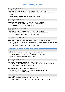RAZRED OTVORENI - OPEN CLASS *MUŽJACI - MALES*

**193.REALITY BITES INDOMINUS REX**, VDH VK 20.0439 OŠT., 13-03-2020

O: PARADIZ RONADO PRIDE AND PREJUDICE, M: PARADIZ RONADO LOVE AT FIRST SIGHT

UZG. NICOLE + NORBERT SCHMIDT, VL. SCHMIDT NICOLE

RAZRED PRVACI - CHAMPION CLASS *MUŽJACI - MALES*

**194.CEDILLA JUST REMEMBER**, VDH VK 21.0789 Ü OŠT., 24-02-2020 O: CH. CEDILLA REMEMBER ME, M: CEDILLA CHERRY ICE CREAM UZG. SARAH MITCHELL, VL. SCHMIDT NICOLE

RAZRED MEĐURAZRED - INTERMEDIATE CLASS *ŽENKE - FEMALES*

**195.REALITY BITES KICK YOUR AXX**, VDH VK 20.1780 OŠT., 13-09-2020 O: CH. STORYVILLE'S ALL THAT JAZZ, M: CH. REALITY BITES EVERY TIME I WIN UZG. NICOLE + NORBERT SCHMIDT, VL. SCHMIDT NICOLE

RAZRED PRVACI - CHAMPION CLASS

*ŽENKE - FEMALES*

**196.REALITY BITES EVERY TIME I WIN**, VDH VK 18/MO 00191 OŠT., 26-11-2018

O: PARADIZ RONADO PRIDE AND PREJUDICE, M: PARADIZ RONADO TOPMODEL NAMED TITANIUM

UZG. NICOLE + NORBERT SCHMIDT, VL. SCHMIDT NICOLE

**FCI: IX-288 KINESKI KUKMASTI PAS / CHINESE CRESTED DOG**

RAZRED OTVORENI - OPEN CLASS *MUŽJACI - MALES*

**197.OSKIA VON SHINBASHI**, VDH/CCC 431/18 OŠT., 30-07-2018

O: VON SHINBASHI EVER MINE, M: CRESTYLE SINFULLY DELICOUS

UZG. ANNEROSE DEMSKI, VL. RÖMER YVONNE

RAZRED PRVACI - CHAMPION CLASS

*MUŽJACI - MALES*

**198.A DREAM BOY VON SHINBASHI**, VDH/CCC 199/16 OŠT., 24-10-2016 O: VELLAR PLJUS LAMERON DAYS FOR, M: MISS MILLION DOLLAR VON SHINBASHI UZG. ANNEROSE DEMSKI, VL. RÖMER YVONNE

**199.PLANETA ANGELOV DAR BOGOV**, BCU288004128 OŠT., 11-03-2017 O: ZEUS IZ SEREBRYANOGO RAYA , M: AFRODITA GODNIS OF BEAUTY UZG. GALYUK T., VL. SCHMIDT NICOLE

RAZRED ŠTENAD - BABY CLASS

*ŽENKE - FEMALES*

**200.REALITY BITES COLD AS ICE**, VDHINPROCESS OŠT., 06-11-2021 O: SWEET BUT PSYCHO WINNING SMILE, M: REALITY BITES ALL EYEZ ON ME UZG. SCHMIDT NICOLE NORBERT, VL. SCHNICKE KERSTIN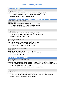**FCI: IX-77 PAPIJON / PAPILLON**

RAZRED PRVACI - CHAMPION CLASS *MUŽJACI - MALES*

**201.PONDA'S JACOB IN TEAM EDWARD**, VDHVK191583 OŠT., 14-07-2019 O: INTER WIN MISTER MASTERPIECE, M: HUNDEBUDEN'S LA LUNA UZG. KLEIN JANINE DAGMAR, VL. KLEIN JANINE

**FCI: IX-136 CAVALIER KING CHARLES ŠPANIJEL / CAVALIER KING CHARLES SPANIEL**

RAZRED MEĐURAZRED - INTERMEDIATE CLASS *MUŽJACI - MALES*

**202.NASHVILLE ARTIGUARDIA**, FI26921/21 OŠT., 24-10-2020 O: NATHAN MARADECO KING, M: VIVIEN ARTIGUARDIA UZG. MARTA KACZMARCZYK, VL. NASKALI MARI

RAZRED OTVORENI - OPEN CLASS

*MUŽJACI - MALES*

**203.APRILMIST VON VERSACE**, FI43442/19 OŠT., 27-07-2019 O: TROLLSÅNGENS KR CITRON LAKRITS, M: APRILMIST GEISHA UZG. MIRJA ARO, VL. KIURU PETRA

RAZRED PRVACI - CHAMPION CLASS

*MUŽJACI - MALES*

**204.APRILMIST PICK'N PACK**, FI25638/18 OŠT., 17-02-2018 O: TORAYLAC LACHLAN, M: APRILMIST CAPOEIRA UZG. MIRJA ARO, FINLAND, VL. NASKALI MARI

RAZRED MEĐURAZRED - INTERMEDIATE CLASS *ŽENKE - FEMALES*

**205.APRILMIST ALEYAH**, FI43742/20 OŠT., 31-07-2020 O: CHARNELL THINK TWICE, M: APRILMIST POSH'N PINKY UZG. MIRJA ARO, VL. KIURU PETRA

**FCI: IX-250 HAVANEZER / HAVANESE**

RAZRED MEĐURAZRED - INTERMEDIATE CLASS *MUŽJACI - MALES*

**206.GEMSTONE-N-MT BREEZES DREAMCATCHER**, AKCTS48467202 OŠT., 29-09-2020 O: AME OF THE FATHER GCH CH NIRVANA SARDI YOU HAD ME FROM HELLO, M: GCH CH GEMSTONE'S-N-MT BREEZE'S TIP THE BOTTLE UZG. MCGUIRE MOYER TERRI SANDY, VL. SCHNICKE KERSTIN

RAZRED OTVORENI - OPEN CLASS *MUŽJACI - MALES*

**207.DREAM-PUPPIES YANNIK RED DEVIL**, PKR.IX-89621 OŠT., 15-08-2020

O: HUGO Z AKACJOWEJ DOLINY, M: DREAM-PUPPIES NANNERL NOBLE PRINCESS UZG. CHRISTA DAUM, VL. KOSMAN KATARZYNA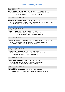RAZRED MLADI - JUNIOR CLASS *ŽENKE - FEMALES*

**208.BELLHAVANESE UNIQUE TARA**, LOSH : 01333627 OŠT., 16-05-2021 O: OWEN DU PRINTEMPS DES OLIVETS, M: NINA LOVE DE LAS FLORES DE LA VIDA UZG. DEVOGELAERE CHANTAL, VL. DEVOGELAERE CHANTAL

RAZRED PRVACI - CHAMPION CLASS *ŽENKE - FEMALES*

**209.WHISKY MY LIFE ANGEL NAVAJO**, PKR.IX-77655 OŠT., 23-02-2017 O: SANDRA'S NEW STAR ANGEL NAVAJO, M: BARBARA HAVANA ANGEL NAVAJO UZG. PETRA KRISTOVA, VL. KOSMAN KATARZYNA

**FCI: IX-65 MALTEZER / MALTESE**

RAZRED OTVORENI - OPEN CLASS *MUŽJACI - MALES*

**210.AMEDEO DANCE ALL DAY**, HR 11165 ML OŠT., 08-11-2019 O: ZIGGY CAYO WEDDING DAY, M: ZITTA MONWHITE NALLA UZG. KUKIĆ KATALINIĆ SANJA, VL. RAČKI-GRUBIŠA DUBRAVKA

RAZRED OTVORENI - OPEN CLASS

*ŽENKE - FEMALES*

**211.STARS OF HEAVEN YUKINA FROM OSAKA**, SHSB/LOS 765654 OŠT., 29-03-2019 O: VINO NOBILE BIELY KORMORAN, M: STARS OF HEAVEN OBSESSION UZG. YVONNE&WERNER SPIESS, VL. SPIESS WERNER

**FCI: IX-208 SHIH TZU / SHIH TZU**

RAZRED NAJMLAĐI - PUPPY CLASS *MUŽJACI - MALES*

**212.NIEK DALAI SHIH-TZU**, NHSB3248143 OŠT., 05-08-2021 O: PS I LOVE YOU DALAI SHIH-TZU, M: FRECKLESS BEBRA BUCHATI UZG. HUGGERS MONIQUE, VL. HUGGERS MONIQUE

RAZRED ŠTENAD - BABY CLASS *ŽENKE - FEMALES*

**213.SWEETIE BEBRA BUCHATI**, NHSB3256862 OŠT., 21-11-2021 O: MOVIE STAR DALAI SHIH-TZU, M: PUMBAA DALAI SHIH-TZU UZG. SCHEPERS JEANNETTE, VL. HUGGERS MONIQUE

RAZRED NAJMLAĐI - PUPPY CLASS *ŽENKE - FEMALES*

**214.MASERATI BEBRA BUCHATI**, NHSB3249219 OŠT., 26-08-2021 O: YANG BAIYUN SHAN VON CHANG'ANLU, M: SARABI DALAI SHIH- TZU UZG. SCHEPERS JEANNETTE, VL. SCHEPERS JEANNETTE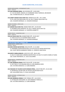RAZRED MEĐURAZRED - INTERMEDIATE CLASS *ŽENKE - FEMALES*

**215.SAN DAMIANO REINA**, UKU.0523656 OŠT., 20-09-2020 O: TI AY SHI MONTI, 4832431, M: SHARDONE VESELIY GREMLIN, 208-002659 UZG. TATIANA KEVLIUK, VL. KEVLIUK VIKTOR

#### **216.CANDY CRUNCH DALAI SHIH-TZU**, NHSB3215121 OŠT., 18-11-2020 O: PS I LOVE YOU DALAI SHIH-TZU, M: CALL IT MAGIC DALAI SHIH-TZU UZG. HUGGERS MONIQUE, VL. HUGGERS MONIQUE

RAZRED OTVORENI - OPEN CLASS *ŽENKE - FEMALES*

**217.SARABI DALAI SHIH-TZU**, NHSB3170035 OŠT., 01-09-2019 O: DILEMMA DYER STRAIGHTS, M: CALL IT MAGIC DALAI SHIH-TZU UZG. HUGGERS MONIQUE, VL. SCHEPERS JEANNETTE

RAZRED PRVACI - CHAMPION CLASS *ŽENKE - FEMALES*

**218.LILO DALAI SHIH-TZU**, NHSB3074082 OŠT., 03-03-2017 O: TOKAJ AD ACTE, M: DILEMMA NINA'S SECRET UZG. HUGGERS MONIQUE, VL. HUGGERS MONIQUE

#### **FCI: IX-172 PUDL TOY / POODLE, TOY**

RAZRED MLADI - JUNIOR CLASS

*MUŽJACI - MALES*

**219.ODIE CRVENI MAYESTOSO**, HR11276 OŠT., 21-12-2020

O: YERONIMO CRVENI MAYESTOSO, M: KO-KO-GO-GO CRVENI MAYESTOSO UZG. KUKIĆ SREĆKO,ANA&MILIĆ MARIO, VL. DEMOVIC ANASTAZIJA

#### **220.GENTLY BORN GORACIO**, LOE2574712 OŠT., 08-01-2021

O: MULTI CH BEN-MAIS LORWINS MASTER PIECE, M: MULTI CH GENTLY BORN JE TEJERA UZG. ELENA TROFIMOVA, VL. GUAL GUILLERMO

RAZRED PRVACI - CHAMPION CLASS

*ŽENKE - FEMALES*

#### **221.AIRI ARABESKA PRADA**, RKF5719134 OŠT., 02-09-2019

O: POP TRICK JP THE WALKING DEAD, M: AIRI ARABESKA WOW UZG. VICTORIA DENISOVA, VL. KLING RAMONA

#### **222.PARADISE OF COLORS SILVER WOMAN SPIRAL**, LOE2575786 OŠT., 01-02-2020

O: ZAFFIRO BLU SILVER LION, M: PATOCA VALOR INTER PLATA

UZG. GUILLERMO GUAL, VL. GUAL GUILLERMO

RAZRED VETERANI - VETERAN CLASS

*ŽENKE - FEMALES*

**223.AIRI ARABESKA ZONDA F**, RKF 3785461 OŠT., 16-10-2013 O: AFTERGLOW GYM BUNNY, M: AIRI ARABESKA FORMULA 1 UZG. VICTORIA DENISOVA, VL. KLING RAMONA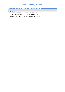**FCI: IX-172 PUDL SREDNJI, BIJELI / POODLE, MEDIUM, WHITE**

RAZRED OTVORENI - OPEN CLASS *MUŽJACI - MALES*

**224.MOUTARI WILLY WINZIG**, VDH/ZDP 20038 OŠT., 02-06-2019 O: KELKA'S KEEP ME IN TOUCH, M: MOUTARI VIVIANA UZG. RALF AND BIRGIT WALTHER, VL. GORDUNA MONIKA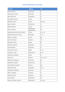| <b>IZLAGAČ</b>                       | <b>DRŽAVA</b>                           | <b>PSI</b>    |
|--------------------------------------|-----------------------------------------|---------------|
| <b>ALUJEVIĆ SARA</b>                 | <b>HRVATSKA</b>                         | 87            |
| <b>ASTALOSOVA LENKA</b>              | <b>SLOVAČKA</b>                         | 83            |
| <b>BAKO KRISZTINA</b>                | <b>MAĐARSKA</b>                         | 74            |
| <b>BALLARDINI NATALE</b>             | <b>ITALIJA</b>                          | 57            |
| <b>BARBERIO PAOLO</b>                | <b>ITALIJA</b>                          | 106, 108      |
| <b>BAUER JOANNA</b>                  | <b>FRANCUSKA</b>                        | 51            |
| <b>BEBER DENNYSE</b>                 | <b>ITALIJA</b>                          | 147           |
| <b>BLAKE VANESSA</b>                 | <b>UJEDINJENO</b><br><b>KRALJEVSTVO</b> | 183           |
| <b>BONGIOVANNI GIUSEPPE FEDERICO</b> | <b>ITALIJA</b>                          | 13, 15, 16    |
| <b>BOSSARD MICHAEL &amp; PETRA</b>   | ŠVICARSKA                               | 77, 79        |
| <b>BRENCIC JASMINA</b>               | <b>ITALIJA</b>                          | 186           |
| <b>BUCHTA DARIUSZ</b>                | <b>POLJSKA</b>                          | 114           |
| <b>BUGARIN LJUBISA</b>               | <b>SRBIJA</b>                           | 86            |
| <b>BÜSCHER MICHELLE</b>              | NJEMAČKA                                | 7,8           |
| <b>BUTINA RANKO</b>                  | SLOVENIJA                               | 22            |
| <b>CHOCHOLATÁ JULIE</b>              | ČEŠKA                                   | 52, 54        |
| <b>COVARELLI CLARA</b>               | <b>FRANCUSKA</b>                        | 20, 21        |
| ČERNÁ ING. DAGMAR                    | ČEŠKA                                   | 24            |
| <b>DAN HELLE</b>                     | <b>DANSKA</b>                           | 134, 135, 171 |
| <b>DEMOVIC ANASTAZIJA</b>            | <b>HRVATSKA</b>                         | 219           |
| <b>DESWARTE LUDOVIC</b>              | <b>FRANCUSKA</b>                        | 99            |
| <b>DEVOGELAERE CHANTAL</b>           | <b>BELGIJA</b>                          | 208           |
| <b>DRECHSLER ANJA</b>                | NJEMAČKA                                | 69,70         |
| DŽUBÁKOVÁ ADRIANA                    | SLOVAČKA                                | 53            |
| <b>EBERL JOHANNES</b>                | <b>AUSTRIJA</b>                         | 92            |
| <b>EISNER KATHRIN</b>                | <b>AUSTRIJA</b>                         | 129           |
| <b>FACON ANNE</b>                    | <b>FRANCUSKA</b>                        | 155           |
| <b>FASOLA YASMINA LUDOVIC</b>        | <b>FRANCUSKA</b>                        | 75, 82, 84    |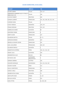| <b>IZLAGAČ</b>                                                | <b>DRŽAVA</b>                           | <b>PSI</b>                   |
|---------------------------------------------------------------|-----------------------------------------|------------------------------|
| <b>FAVARO SABINA</b>                                          | <b>ITALIJA</b>                          | 116, 117                     |
| FERRAMOSCA BARBARA ALLEV. OF BULL'S<br><b>ANGEL BULL'S DI</b> | <b>ITALIJA</b>                          | 136                          |
| <b>FILIPOVIĆ ROBERT</b>                                       | <b>HRVATSKA</b>                         | 104                          |
| <b>FLENGHI LAURENT</b>                                        | <b>FRANCUSKA</b>                        | 141, 142, 148, 150, 152, 154 |
| <b>FLORENZI DARIA</b>                                         | <b>ITALIJA</b>                          | 2                            |
| <b>FLÜGE VANESSA</b>                                          | NJEMAČKA                                | 178, 179                     |
| <b>FONJAK MIRJANA</b>                                         | <b>HRVATSKA</b>                         | 123, 124                     |
| <b>GABRIELOVA MARIE</b>                                       | SLOVAČKA                                | 85                           |
| <b>GASPARINI FANNIE</b>                                       | <b>FRANCUSKA</b>                        | 6                            |
| <b>GENET ELODIE</b>                                           | <b>FRANCUSKA</b>                        | 137                          |
| <b>GILARDONI MATTIA</b>                                       | <b>ITALIJA</b>                          | 67,71                        |
| <b>GORDUNA MONIKA</b>                                         | NJEMAČKA                                | 224                          |
| <b>GRAZIELLA GOUERY SEVERI</b>                                | <b>FRANCUSKA</b>                        | 101                          |
| <b>GUAL GUILLERMO</b>                                         | ŠPANJOLSKA                              | 220, 222                     |
| GULABOVÁ NIKOLA                                               | SLOVAČKA                                | $\overline{1}$               |
| HABARTOVÁ KATEŘINA                                            | ČEŠKA                                   | 130, 131, 132, 133           |
| <b>HADZIC LEJLA</b>                                           | <b>SLOVENIJA</b>                        | 139                          |
| <b>HEMMERYCKX JULIE</b>                                       | <b>BELGIJA</b>                          | 88                           |
| <b>HEYWOOD JANE</b>                                           | <b>UJEDINJENO</b><br><b>KRALJEVSTVO</b> | 3                            |
| <b>HORNAK SABRINA</b>                                         | AUSTRIJA                                | 156                          |
| <b>HUGGERS MONIQUE</b>                                        | NIZOZEMSKA                              | 212, 213, 216, 218           |
| <b>HUGHES VALERIE</b>                                         | <b>IRSKA</b>                            | 112                          |
| <b>HULEU CHRISTOPHE</b>                                       | <b>FRANCUSKA</b>                        | 19                           |
| <b>IVANCIC CARLA</b>                                          | <b>HRVATSKA</b>                         | 189                          |
| JAKABOVICOVA IVANA                                            | SLOVAČKA                                | 73                           |
| JOKITULPPO HEIDI                                              | <b>FINSKA</b>                           | 11, 18                       |
| <b>KEVLIUK VIKTOR</b>                                         | CIPAR                                   | 215                          |
| KIURU PETRA                                                   | <b>FINSKA</b>                           | 31, 203, 205                 |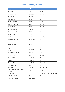| <b>IZLAGAČ</b>                                   | <b>DRŽAVA</b>    | <b>PSI</b>                           |
|--------------------------------------------------|------------------|--------------------------------------|
| <b>KLEIN JANINE</b>                              | NJEMAČKA         | 49, 201                              |
| <b>KLING RAMONA</b>                              | NJEMAČKA         | 221, 223                             |
| <b>KOCH NICOLE</b>                               | <b>AUSTRIJA</b>  | 113                                  |
| <b>KOCJANCIC NIKA</b>                            | SLOVENIJA        | 138, 140                             |
| KOLÁČEK RADOVAN                                  | ČEŠKA            | 93, 94, 95                           |
| <b>KOSMAN KATARZYNA</b>                          | <b>POLJSKA</b>   | 207, 209                             |
| KOUTNÁ MARTINA                                   | ČEŠKA            | 159, 161                             |
| KOZLOVSKA SANITA                                 | LETONIJA         | 182                                  |
| KULHÁNKOVA PETRA                                 | ČEŠKA            | 105                                  |
| <b>LARGHI FRANCESCA</b>                          | <b>ITALIJA</b>   | 119                                  |
| <b>LARSEN HENRIK</b>                             | <b>DANSKA</b>    | 170, 172, 174                        |
| <b>LAVERGNE MARTINE</b>                          | <b>FRANCUSKA</b> | 48                                   |
| LAZAREVA VIOLETA                                 | <b>LETONIJA</b>  | 177, 181                             |
| <b>LENAERTS EDWIN</b>                            | <b>SRBIJA</b>    | 188                                  |
| <b>LEONI LUCIJANA</b>                            | <b>HRVATSKA</b>  | 109                                  |
| LUČIN ANTE & GONZALEZ MENDICOTE<br><b>JAVIER</b> | <b>HRVATSKA</b>  | 121                                  |
| MALAVRAZIC IVANA D.                              | <b>CRNA GORA</b> | 149                                  |
| <b>MALINSKA JANA</b>                             | ČEŠKA            | 9, 10, 110                           |
| <b>MARIA ARENA</b>                               | <b>FRANCUSKA</b> | 42                                   |
| <b>MERINO MARTA</b>                              | ŠPANJOLSKA       | 151                                  |
| <b>MILLESECK CORALIE</b>                         | <b>FRANCUSKA</b> | 62, 63, 89                           |
| MOTALOVA JANA                                    | ČEŠKA            | 111                                  |
| <b>MUENNICH LYDIA</b>                            | NJEMAČKA         | 160, 164, 165                        |
| NAGL UND FORTE MICHELLE UND<br><b>MARINA</b>     | NJEMAČKA         | 36, 37                               |
| <b>NASKALI MARI</b>                              | <b>FINSKA</b>    | 32, 33, 50, 56, 58, 61, 96, 202, 204 |
| <b>NEGRI FRANCESCA</b>                           | <b>ITALIJA</b>   | 23                                   |
| NICOLETA ELENA MITISOR                           | RUMUNJSKA        | 173                                  |
| <b>OELGARTE CLAUDIA</b>                          | <b>AUSTRIJA</b>  | 91                                   |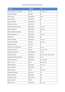| <b>IZLAGAČ</b>                 | <b>DRŽAVA</b>    | <b>PSI</b>                   |
|--------------------------------|------------------|------------------------------|
| OF KUMATANI ALLEVAMENTO        | <b>ITALIJA</b>   | 143, 144, 145                |
| <b>OLEKSIAK MARIKA</b>         | <b>POLJSKA</b>   | 55                           |
| ORCZI VIRÁG                    | <b>MAĐARSKA</b>  | 78,81                        |
| <b>PFEIL KERSTIN</b>           | <b>NJEMAČKA</b>  | 38                           |
| PIERARD CARINE                 | <b>FRANCUSKA</b> | 5                            |
| PLENKOVIC MARIJA               | <b>HRVATSKA</b>  | 4                            |
| <b>QUIROS SEGOVIA PALOMA</b>   | ŠPANJOLSKA       | 157, 158                     |
| <b>QUITER MANUELA</b>          | <b>NJEMAČKA</b>  | 162, 163                     |
| RAČKI-GRUBIŠA DUBRAVKA         | <b>HRVATSKA</b>  | 210                          |
| <b>RICHTER GABRIELE</b>        | NJEMAČKA         | 118, 120                     |
| <b>RIEK BRITTA</b>             | <b>NJEMAČKA</b>  | 80                           |
| RÖMER YVONNE                   | NJEMAČKA         | 197, 198                     |
| ROZLACH KAROLINA               | <b>POLJSKA</b>   | 65, 66, 72                   |
| SADOWSKA ANNA                  | <b>POLJSKA</b>   | 27                           |
| SANTONOCITO ANTONELLA          | <b>ITALIJA</b>   | 98, 100                      |
| SARVIJÄRVI KRISTA              | <b>FINSKA</b>    | 126, 127, 128                |
| <b>SCHEPERS JEANNETTE</b>      | NIZOZEMSKA       | 214, 217                     |
| <b>SCHMIDT NICOLE</b>          | <b>NJEMAČKA</b>  | 192, 193, 194, 195, 196, 199 |
| <b>SCHMIDT SIMONE UND MIKE</b> | NJEMAČKA         | 25, 26                       |
| <b>SCHNICKE KERSTIN</b>        | NJEMAČKA         | 191, 200, 206                |
| SMALL E, A & E                 | <b>IRSKA</b>     | 68, 184, 185                 |
| SÖREN GROENE                   | ŠVICARSKA        | 175, 176                     |
| <b>SPIESS WERNER</b>           | ŠVICARSKA        | 211                          |
| SRBOVÁ ALENA                   | ČEŠKA            | 59, 60, 90                   |
| STAPRENA DZINTRA               | LETONIJA         | 14                           |
| <b>STEINER PAMELA</b>          | ŠVICARSKA        | 180                          |
| STRAŽIČIĆ MIRKO                | <b>HRVATSKA</b>  | 115                          |
| ŠAKIĆ LUDMILA                  | ČEŠKA            | 39                           |
| ŠKRABIĆ IVAN                   | <b>HRVATSKA</b>  | 102, 103                     |